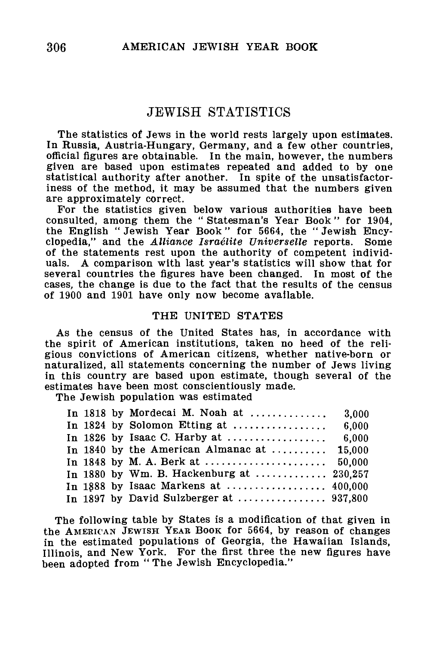# JEWISH STATISTICS

The statistics of Jews in the world rests largely upon estimates. In Russia, Austria-Hungary, Germany, and a few other countries, official figures are obtainable. In the main, however, the numbers given are based upon estimates repeated and added to by one statistical authority after another. In spite of the unsatisfactoriness of the method, it may be assumed that the numbers given are approximately correct.

For the statistics given below various authorities have been consulted, among them the " Statesman's Year Book" for 1904, the English " Jewish Year Book" for 5664, the " Jewish Encyclopedia," and the *Alliance Israelite Universelle* reports. Some of the statements rest upon the authority of competent individuals. A comparison with last year's statistics will show that for several countries the figures have been changed. In most of the cases, the change is due to the fact that the results of the census of 1900 and 1901 have only now become available.

#### THE UNITED STATES

As the census of the United States has, in accordance with the spirit of American institutions, taken no heed of the religious convictions of American citizens, whether native-born or naturalized, all statements concerning the number of Jews living in this country are based upon estimate, though several of the estimates have been most conscientiously made.

The Jewish population was estimated

|  | In 1818 by Mordecai M. Noah at  3,000       |       |
|--|---------------------------------------------|-------|
|  |                                             |       |
|  | In 1826 by Isaac C. Harby at $\ldots$       | 6.000 |
|  | In 1840 by the American Almanac at $15.000$ |       |
|  |                                             |       |
|  | In 1880 by Wm. B. Hackenburg at  230.257    |       |
|  |                                             |       |
|  |                                             |       |

The following table by States is a modification of that given in the AMERICAN JEWISH YEAR BOOK for 5664, by reason of changes in the estimated populations of Georgia, the Hawaiian Islands, Illinois, and New York. For the first three the new figures have been adopted from " The Jewish Encyclopedia."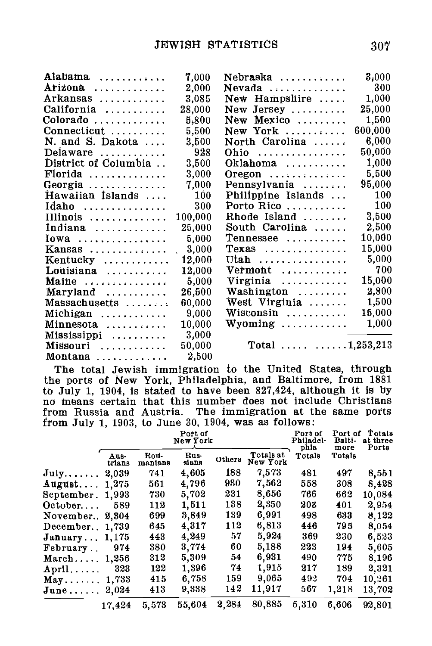| Alabama              | 7.000      | $Nebr$ aska $\ldots \ldots \ldots$     | 8,000      |
|----------------------|------------|----------------------------------------|------------|
| Arizona              | 2,000      | $N$ evada                              | 300        |
| Arkansas             | 3.085      | New Hampshire                          | 1,000      |
| California           | 28,000     | New Jersey                             | 25.000     |
| Colorado             | 5.800      | New Mexico                             | 1,500      |
| Connecticut          | 5,500      | New York                               | 600,000    |
| N. and S. Dakota     | 3,500      | North Carolina                         | 6.000      |
| Delaware             | 928        | Ohio                                   | 50,000     |
| District of Columbia | 3,500      | $Oklahoma$                             | 1,000      |
| $Florida$            | 3,000      | $O$ regon                              | 5.500      |
| Georgia              | 7.000      | Pennsylvania                           | 95,000     |
| Hawaiian Islands     | 100        | Philippine Islands                     | 100        |
| Idaho                | 300        | Porto Rico                             | 100        |
| Illinois             | 100,000    | Rhode Island                           | 3,500      |
| Indiana              | 25,000     | South Carolina                         | 2,500      |
| $Iowa$               | 5,000      | Tennessee                              | 10,000     |
| Kansas               | 3,000      | $T$ exas                               | $15.000\,$ |
| Kentucky             | 12,000     | Utah                                   | 5,000      |
| Louisiana            | $12.000\,$ | Vermont                                | 700        |
| Maine                | 5,000      | Virginia                               | 15,000     |
| Maryland             | 26,500     | Washington                             | 2,800      |
| Massachusetts        | 60.000     | West Virginia                          | $1,\!500$  |
| Michigan             | 9,000      | Wisconsin                              | 15,000     |
| Minnesota            | 10,000     | $Wyoming \ldots \ldots \ldots$         | 1,000      |
| Mississippi          | 3,000      |                                        |            |
| Missouri             | 50,000     | Total $\ldots \ldots \ldots 1,253,213$ |            |
| Montana              | 2,500      |                                        |            |

The total Jewish immigration to the United States, through the ports of New York, Philadelphia, and Baltimore, from 1881 to July 1, 1904, is stated to have been 827,424, although it ia by no means certain that this number does not include Christians from Russia and Austria. The immigration at the same ports from July 1, 1903, to June 30, 1904, was as follows:

|                   |                | Port of<br>New York |               |        | Port of<br>Philadel-<br>phia | Port of<br>Balti-<br>more | Totals<br>at three<br>Ports |        |
|-------------------|----------------|---------------------|---------------|--------|------------------------------|---------------------------|-----------------------------|--------|
|                   | Aus-<br>trians | Kou-<br>manians     | Rus-<br>sians | Others | Totals at<br>New York        | Totals                    | Totals                      |        |
| July              | 2,039          | 741                 | 4,605         | 188    | 7,573                        | 481                       | 497                         | 8,551  |
| August            | 1.275          | 561                 | 4,796         | 980    | 7,562                        | 558                       | 308                         | 8.428  |
| September, 1,993  |                | 730                 | 5,702         | 231    | 8,656                        | 766                       | 662                         | 10,084 |
| $October. \ldots$ | 589            | 112                 | 1,511         | 188    | 2,350                        | 203                       | 401                         | 2,954  |
| November          | 2.304          | 699                 | 3,849         | 139    | 6,991                        | 498                       | 693                         | 8,122  |
| December.         | 1,739          | 645                 | 4,317         | 112    | 6,813                        | 446                       | 795                         | 8,054  |
| $J$ anuary        | 1,175          | 443                 | 4,249         | 57     | 5.924                        | 369                       | 230                         | 6,523  |
| February          | 974            | 380                 | 3,774         | 60     | 5,188                        | 223                       | 194                         | 5,605  |
| March $1,256$     |                | 312                 | 5,309         | 54     | 6,931                        | 490                       | 775                         | 8,196  |
| April             | 323            | 122                 | 1,396         | 74     | 1,915                        | 217                       | 189                         | 2,321  |
| $May. \ldots$     | 1,733          | 415                 | 6,758         | 159    | 9.065                        | 492                       | 704                         | 10.261 |
| June $2,024$      |                | 413                 | 9,338         | 142    | 11,917                       | 567                       | 1,218                       | 13,702 |
|                   | 17,424         | 5,573               | 55,604        | 2,284  | 80,885                       | 5,310                     | 6,606                       | 92,801 |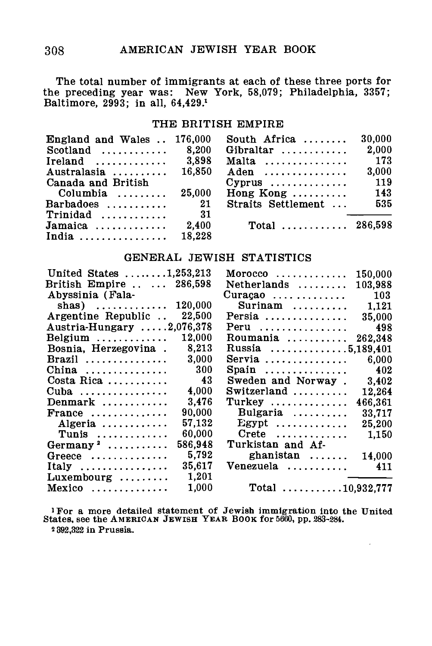The total number of immigrants at each of these three ports for the preceding year was: New York, 58,079; Philadelphia, 3357; Baltimore, 2993; in all, 64,429.\*

### THE BRITISH EMPIRE

| England and Wales  176,000                  |        | South Africa $\ldots$            | 30.000 |
|---------------------------------------------|--------|----------------------------------|--------|
| $Scotland$                                  | 8.200  | Gibraltar $\dots\dots\dots$      | 2.000  |
| Ireland $\ldots \ldots \ldots \ldots$ 3,898 |        | Malta                            | 173    |
| Australasia $\ldots \ldots \ldots 16,850$   |        | Aden                             | 3.000  |
| Canada and British                          |        |                                  | 119    |
| Columbia $\ldots \ldots$                    | 25,000 | Hong Kong $\ldots \ldots \ldots$ | 143    |
| $Barbados$                                  | 21     | Straits Settlement               | 535    |
| $Trinidad \ldots \ldots \ldots$             | - 31   |                                  |        |
|                                             | 2.400  | Total $286.598$                  |        |
| India                                       | 18.228 |                                  |        |

## GENERAL JEWISH STATISTICS

| United States $\dots \dots \dots 1,253,213$ | 150.000<br>$M$ orocco                          |
|---------------------------------------------|------------------------------------------------|
| British Empire   286,598                    | Netherlands<br>103.988                         |
| Abyssinia (Fala-                            | - 103<br>$Curação$                             |
| shas) $\dots\dots\dots\dots$                | Surinam                                        |
| 120,000                                     | 1.121                                          |
| 22,500                                      | Persia                                         |
| Argentine Republic                          | 35.000                                         |
| Austria-Hungary 2,076,378                   | 498<br>Peru                                    |
| 12.000                                      | Roumania                                       |
| Belgium $\ldots \ldots \ldots$              | 262,348                                        |
| 8.213<br>Bosnia, Herzegovina.               | Russia 5,189,401                               |
| 3.000                                       | Servia $\ldots$                                |
| Brazil                                      | 6.000                                          |
| - 300                                       | 402                                            |
| China                                       | Spain                                          |
| - 43                                        | Sweden and Norway.                             |
| Costa Rica                                  | 3,402                                          |
| 4.000                                       | Switzerland                                    |
| Cuba                                        | 12,264                                         |
| 3.476                                       | Turkey                                         |
| Denmark                                     | 466.361                                        |
| 90.000                                      | Bulgaria                                       |
| France                                      | 33,717                                         |
| 57.132                                      | $Egypt$                                        |
| Algeria                                     | 25,200                                         |
| 60,000                                      | $\text{Create } \dots \dots \dots \dots$       |
| Tunis                                       | 1,150                                          |
| 586.948<br>Germany <sup>2</sup>             | Turkistan and Af-                              |
| 5.792                                       | ghanistan                                      |
| Greece $\ldots$                             | 14,000                                         |
| 35.617                                      | Venezuela                                      |
| Italy                                       | 411                                            |
| 1.201<br>$Luxembourg \dots \dots$           |                                                |
| 1,000<br>Mexico                             | Total $\ldots \ldots \ldots \ldots 10,932,777$ |
|                                             |                                                |

•For a more detailed statement of Jewish immigration into the United States, see the AMERICAN JEWISH YEAR BOOK for 5660, pp. 283-284. 2 392,332 in Prussia.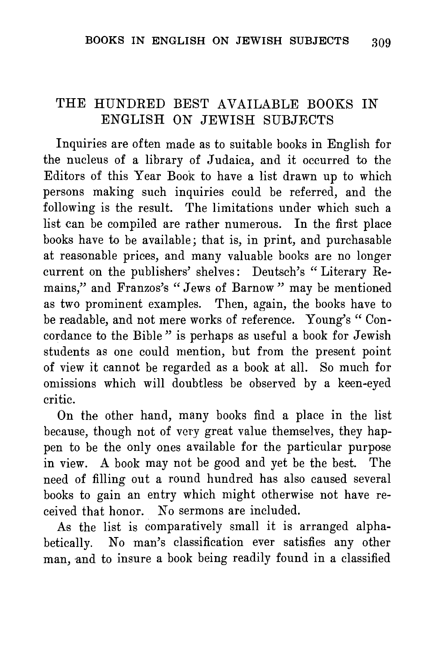# THE HUNDRED BEST AVAILABLE BOOKS IN ENGLISH ON JEWISH SUBJECTS

Inquiries are often made as to suitable books in English for the nucleus of a library of Judaica, and it occurred to the Editors of this Year Book to have a list drawn up to which persons making such inquiries could be referred, and the following is the result. The limitations under which such a list can be compiled are rather numerous. In the first place books have to be available; that is, in print, and purchasable at reasonable prices, and many valuable books are no longer current on the publishers' shelves: Deutsch's " Literary Remains," and Franzos's " Jews of Barnow " may be mentioned as two prominent examples. Then, again, the books have to be readable, and not mere works of reference. Young's " Concordance to the Bible " is perhaps as useful a book for Jewish students as one could mention, but from the present point of view it cannot be regarded as a book at all. So much for omissions which will doubtless be observed by a keen-eyed critic.

On the other hand, many books find a place in the list because, though not of very great value themselves, they happen to be the only ones available for the particular purpose in view. A book may not be good and yet be the best. The need of filling out a round hundred has also caused several books to gain an entry which might otherwise not have received that honor. No sermons are included.

As the list is comparatively small it is arranged alphabetically. No man's classification ever satisfies any other man, and to insure a book being readily found in a classified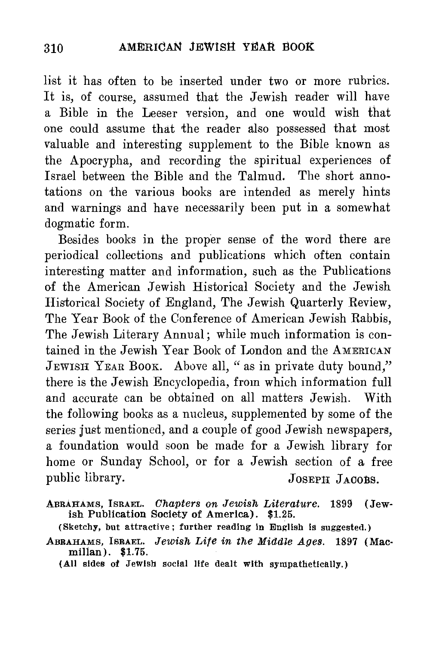list it has often to be inserted under two or more rubrics. It is, of course, assumed that the Jewish reader will have a Bible in the Leeser version, and one would wish that one could assume that the reader also possessed that most valuable and interesting supplement to the Bible known as the Apocrypha, and recording the spiritual experiences of Israel between the Bible and the Talmud. The short annotations on the various books are intended as merely hints and warnings and have necessarily been put in a somewhat dogmatic form.

Besides books in the proper sense of the word there are periodical collections and publications which often contain interesting matter and information, such as the Publications of the American Jewish Historical Society and the Jewish Historical Society of England, The Jewish Quarterly Eeview, The Year Book of the Conference of American Jewish Eabbis, The Jewish Literary Annual; while much information is contained in the Jewish Year Book of London and the AMERICAN JEWISH YEAR BOOK. Above all, " as in private duty bound," there is the Jewish Encyclopedia, from which information full and accurate can be obtained on all matters Jewish. With the following books as a nucleus, supplemented by some of the series just mentioned, and a couple of good Jewish newspapers, a foundation would soon be made for a Jewish library for home or Sunday School, or for a Jewish section of a free public library. JOSEPH JACOBS.

ABRAHAMS, ISRAEL. *Chapters on Jewish Literature.* 1899 (Jewish Publication Society of America). \$1.25.

(Sketchy, but attractive; further reading in English is suggested.)

ABRAHAMS, ISRAEL. *Jewish Life in the Middle Ages.* 1897 (Macmilian). \$1.75.

(All sides of Jewish social life dealt with sympathetically.)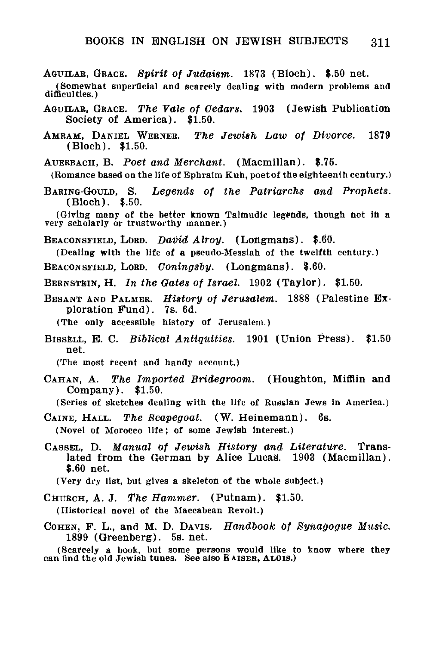- AGUILAB, GRACE. *Spirit of Judaism.* 1873 (Bloch). \$.50 net.
- (Somewhat superficial and scarcely dealing with modern problems and difficulties.)
- AOUILAB, GRACE. *The Vale of Cedars.* 1903 (Jewish Publication Society of America). \$1.50.
- AMRAM, DANIEL WERNER. *The Jewish Law of Divorce.* 1879 (Bloch). \$1.50.

AUERBACH, B. *Poet and Merchant.* (Macmillan). \$.76.

(Romance based on the life of Ephralm Kuh, poet of the eighteenth century.)

BARING-GOULD, S. *Legends of the Patriarchs and Prophets.* (Bloch). \$.50.

BEACONSFIELD, LORD. *Datiid Alroy.* (Longmans). \$.60.

(Dealing with the life of a pseudo-Messiah of the twelfth century.)

BEACONSFIELD, LORD. *Coningsby.* (Longmans). \$.60.

BERNSTEIN, H. *In the Gates of Israel.* 1902 (Taylor). \$1.50.

BESANT AND PALMER. *History of Jerusalem.* 1888 (Palestine Exploration Fund). 7s. 6d.

(The only accessible history of Jerusalem.)

BISSELL, E. C. *Biblical Antiquities.* 1901 (Union Press). \$1.50 net.

(The most recent and handy account.)

CAHAN, A. *The Imported Bridegroom.* (Houghton, Mifflin and Company). \$1.50.

(Series of sketches dealing with the life of Russian Jews in America.)

- CAINE, HALL. *The Scapegoat.* (W. Heinemann). 6s. (Novel of Morocco life) of some Jewish interest.)
- CASSEL, D. *Manual of Jewish History and Literature.* Translated from the German by Alice Lucas. 1903 (Macmillan). \$.60 net.

(Very dry list, but gives a skeleton of the whole subject.)

CHURCH, A. J. The Hammer. (Putnam). \$1.50.

(Historical novel of the Maccabean Revolt.)

COHEN, F. L., and M. D. DAVIS. *Handbook Of Synagogue Music.* 1899 (Greenberg). 5s. net.

(Scarcely a book, but some persons would like to know Where they can find the old Jewish tunes. See also KAISER, ALOIS.)

<sup>(</sup>Giving many of the better known Taltnudic legends, though hot In a very scholarly or trustworthy manner.)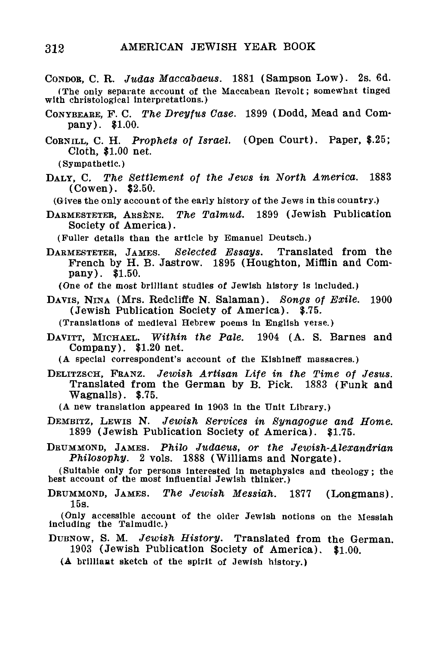- CONDOR, C. R. *Judas Maccaoaeus.* 1881 (Sampson Low). 2s. 6d. (The only separate account of the Maccabean Revolt; somewhat tinged with christological interpretations.)
- CONYBEAEE, F. C. *The Dreyfus Case.* 1899 (Dodd, Mead and Company). \$1.00.
- COBNILL, C. H. *Prophets of Israel.* (Open Court). Paper, \$.25; Cloth, \$1.00 net.

(Sympathetic.)

DALY, C. *The Settlement of the Jews in North America.* 1883 (Cowen). \$2.50.

(Gives the only account of the early history of the Jews in this country.)

DAHMESTETEE, ABSENE. *The Talmud.* 1899 (Jewish Publication Society of America).

(Fuller details than the article by Emanuel Deutsch.)

DAEMESTETEB, JAMES. *Selected Essays.* Translated from the French by H. B. Jastrow. 1895 (Houghton, Mifflin and Company). \$1.50.

(One of the most brilliant studies of Jewish history is included.)

DAVIS, NINA (Mrs. Redcliffe N. Salaman). *Songs of Exile.* 1900 (Jewish Publication Society of America). \$.75.

(Translations of medieval Hebrew poems in English verse.)

- DAVITT, MICHAEL. *Within the Pale.* 1904 (A. S. Barnes and Company). \$1.20 net.
	- (A special correspondent's account of the Kishlneff massacres.)
- DELITZSCH, FKANZ. *Jewish Artisan Life in the Time of Jesus.* Translated from the German by B. Pick. 1883 (Funk and Wagnalls). \$.75.
	- (A new translation appeared in 1903 in the Unit Library.)
- DEMBITZ, LEWIS N. *Jewish Services in Synagogue and Home.* 1899 (Jewish Publication Society of America). \$1.75.
- DBUMMOND, JAMES. *Philo Judaeus, or the Jewish-Alexandrian Philosophy.* 2 vols. 1888 (Williams and Norgate).

(Suitable only for persons interested In metaphysics and theology; the best account of the most influential Jewish thinker.)

DBUMMOND, JAMES. *The Jewish Messiah.* 1877 (Longmans). 15s.

(Only accessible account of the older Jewish notions on the Messiah including the Talmudic.)

DUBNOW, S. M. *Jewish History.* Translated from the German. 1903 (Jewish Publication Society of America). \$1.00.

(A brilliant sketch of the spirit of Jewish history.)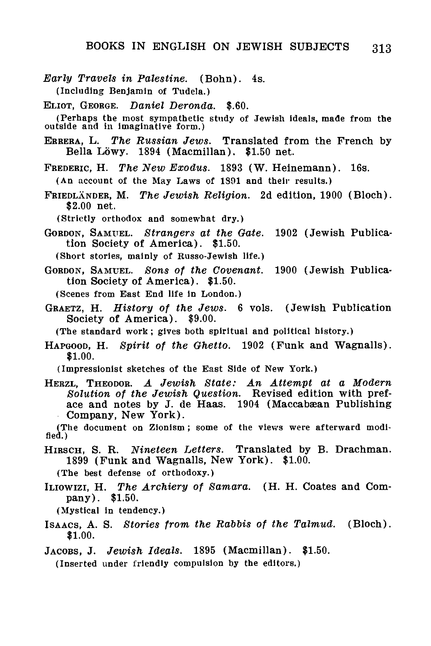- *Early Travels in Palestine.* (Bohn). 4s. (Including Benjamin of Tudela.)
- ELIOT, GEORGE. *Daniel Deronda.* \$.60.

(Perhaps the most sympathetic study of Jewish ideals, made from the outside and in imaginative form.)

ERBERA, L. *The Russian Jews.* Translated from the French by Bella Lowy. 1894 (Macmillan). \$1.50 net.

FREDERIC, H. *The New Exodus.* 1893 (W. Heinemann). 16s.

(An account of the May Laws of 1891 and their results.)

FRIEDLANDER, M. *The Jewish Religion.* 2d edition, 1900 (Bloch). \$2.00 net.

(Strictly orthodox and somewhat dry.)

- GORDON, SAMUEL. *Strangers at the Gate.* 1902 (Jewish Publication Society of America). \$1.50.
	- (Short stories, mainly of Russo-Jewish life.)
- GORDON, SAMUEL. *Sons of the Covenant.* 1900 (Jewish Publication Society of America). \$1.50.

(Scenes from East End life in London.)

GBAETZ, H. *History of the Jews.* 6 vols. (Jewish Publication Society of America). \$9.00.

(The standard work; gives both spiritual and political history.)

HAPGOOD, H. *Spirit of the Ghetto.* 1902 (Funk and Wagnalls). \$1.00.

(Impressionist sketches of the East Side of New York.)

HEBZL, THEODOR. *A Jewish State: An Attempt at a Modern Solution of the Jewish Question.* Revised edition with preface and notes by J. de Haas. 1904 (Maccabæan Publishing Company, New York).

(The document on Zionism; some of the views were afterward modified.)

HIRSCH, S. R. *Nineteen Letters.* Translated by B. Drachman. 1899 (Funk and Wagnalls, New York). \$1.00.

(The best defense of orthodoxy.)

- ILIOWIZI, H. *The Archiery of Samara.* (H. H. Coates and Company). \$1.50.
	- (Mystical in tendency.)
- ISAACS, A. S. *Stories from the Rabbis of the Talmud.* (Bloch). \$1.00.
- JACOBS, J. *Jewish Ideals.* 1895 (Macmillan). \$1.50.

(Inserted under friendly compulsion by the editors.)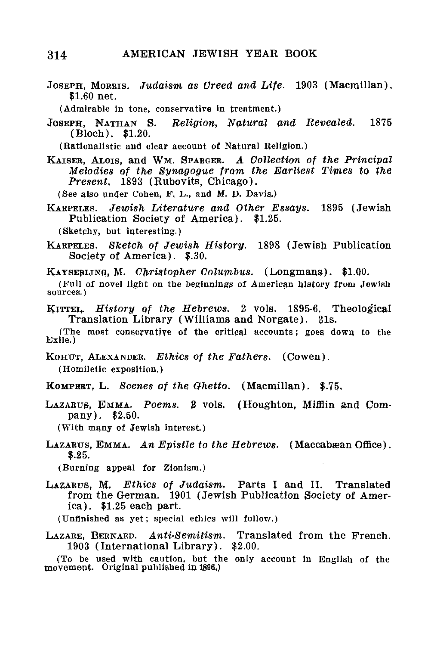## 314 AMERICAN JEWISH YEAR BOOK

JOSEPH, MORRIS. *Judaism as Creed and Life.* 1903 (Macmillan). \$1.60 net.

(Admirable in tone, conservative in treatment.)

JOSEPH, NATHAN S. *Religion, Natural and Revealed.* 1875 (Bloch). \$1.20.

(Rationalistic and clear account of Natural Religion.)

KAISEB, ALOIS, and WM. SPARGER. *A Collection of the Principal Melodies of the Synagogue from the Earliest Times to the Present,* 1893 (Rubovits, Chicago).

(See also under Cohen, F. L., and M. D. Davis.)

KARPELES. *Jewish Literature and Other Essays.* 1895 (Jewish Publication Society of America). \$1-25.

(Sketchy, but interesting.)

KARPELES. *Sketch of Jewish History.* 1898 (Jewish Publication Society of America). \$.30.

KAYSEBLINQ, M. *Christopher Columbus.* (Longmans). \$1.00.

(Full of novel light on the beginnings of American history from Jewish sources.)

KITTEL, *History of the Hebrews.* 2 vols. 1895-6. Theological Translation Library (Williams and Norgate). 21s.

(The most conservative of the critical accounts; goes down to the Exile.)

KOHUT, ALEXANDER. *Ethics of the Fathers.* (Cowen). (Homiletic exposition,)

KOMPERT, L. *Scenes of the Ghetto,* (Macmillan). \$.75,

LAZARUS, EMMA. *Poems.* 2 vols, (Houghton, Mifflin and Company). \$2.50.

(With many of Jewish interest.)

LAZARUS, EMMA. An Epistle to the Hebrews. (Maccabæan Office). \$.25.

(Burning appeal for Zionism.)

LAZARUS, M. *Ethics of Judaism.* Parts I and II. Translated from the German. 1901 (Jewish Publication Society of America). \$1.25 each part.

(Unfinished as yet; special ethics will follow.)

LAZARE, BERNARD. *Anti-Semitism.* Translated from the French. 1903 (International Library). \$2.00.

(To be used with caution, but the only account in English of the movement. Original published in 1896,)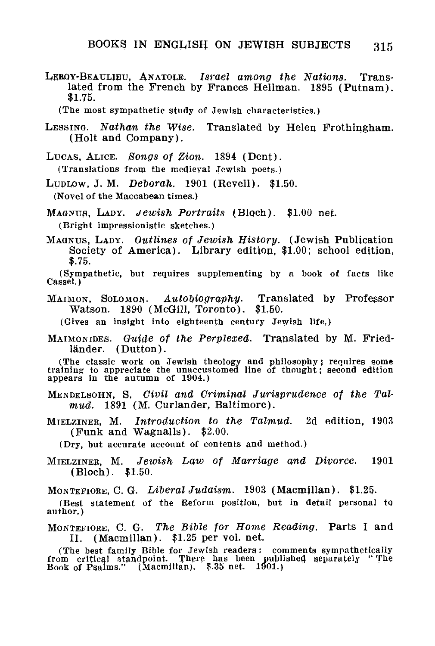LEROY-BEAULIHU, ANATOLE. *Israel among tfie Nations.* Translated from the French by Frances Hellman. 1895 (Putnam). \$1.75.

(The most sympathetic study of Jewish characteristics.)

- LESSING. *Nathan the Wise.* Translated by Helen Frothingham. (Holt and Company).
- LUCAS, ALICE. Songs of Zion. 1894 (Dent). (Translations from the medieval Jewish poets.)
- LupLow, J. M. *Deborah.* 1901 (Revell). \$1.50. (Novel of the Maccabean times.)
- MAGNUS, LADY. *Jewish Portraits* (Bloch). \$1.00 net. (Bright impressionistic sketches.)
- MAGNUS, LADY. *Outlines of Jewish History.* (Jewish Publication Society of America). Library edition, \$1.00; school edition, \$.75.

(Sympathetic, but requires supplementing by a book of facts like  $\overline{\text{Case1.}}$ 

MAIMON, SOLOMON,. *Autobiography.* Translated by Professor Watson. 1890 (McGill, Toronto). \$1.50.

(Gives an insight into eighteenth century Jewish life,)

MAIMONIDES. *Guide of the Perplexed*. Translated by M. Friedländer. (Dutton).

(The classic work on Jewish theology and philosophy; requires some training to appreciate the unaccustomed line of thought; second edition appears in the autumn of 1904.)

- MENDELSOHN, S, *Oivil and Criminal Jurisprudence of the Talmud.* 1891 (M. Curlander, Baltimore).
- MIELZINER, M. *Introduction to the Talmud.* 2d edition, 1903 (Funk and Wagnalls). \$2.00.

(Dry, but accurate account of contents and method.)

MIELZINER, M. *Jewish Law of Marriage and Divorce.* 1901 (Bloch). \$1.50.

MONTEFIORE, C. G. *Liberal Judaism.* 1903 (Macmjllan). \$1.25-

(Best statement of the Reform position, but in detail personal to author.)

MONTEFIORE, C. G. *The Bible for Home Reading.* Parts I and II. (Macmillan). \$1.25 per vol. net.

(The best family Bible for Jewish readers : comments sympathetically from critical standpoint. There has been published separately " The Book of Psalms." (Macmillan). \$.35 net. 1901.)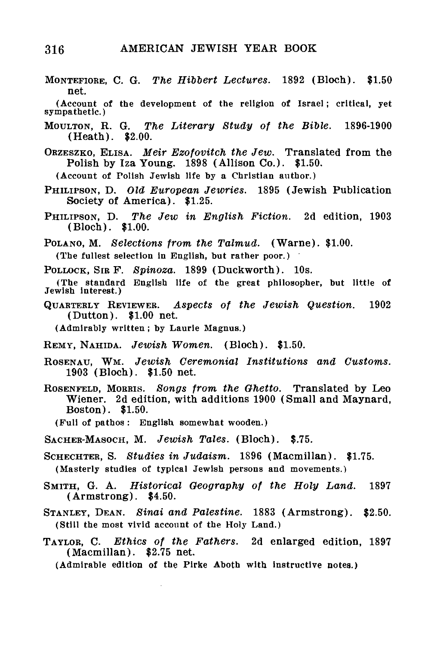MONTEFIORE, C. G. *The Hibbert Lectures.* 1892 (Bloch). \$1.50

net. (Account of the development of the religion of Israel; critical, yet sympathetic.) MOULTON, R. G. *The Literary Study of the Bible.* 1896-1900 (Heath). \$2.00. ORZESZKO, ELISA. *Meir Ezofovitch the Jew.* Translated from the Polish by Iza Young. 1898 (Allison Co.). \$1.50. (Account of Polish Jewish life by a Christian author.) PHILIFSON, D. *Old European Jewries.* 1895 (Jewish Publication Society of America). \$1.25. PHILIPSON, D. *The Jew in English Fiction.* 2d edition, 1903 (Bloch). \$1.00. POLANO, M. *Selections from the Talmud.* (Warne). \$1.00. (The fullest selection in English, but rather poor.) POLLOCK, SIR F. *Spinoza.* 1899 (Duckworth). 10s. (The standard English life of the great philosopher, but little of Jewish interest.) QUARTERLY REVIEWER. *Aspects of the Jewish Question.* 1902 (Dutton). \$1.00 net. (Admirably written; by Laurie Magnus.) EEMY, NAHIDA. *Jewish Women.* (Bloch). \$1.50. ROSENAU, WM. *Jewish Ceremonial Institutions and Customs.* 1903 (Bloch). \$1.50 net. ROSENFELD, MORRIS. *Songs from the Ghetto.* Translated by Leo Wiener. 2d edition, with additions 1900 (Small and Maynard, Boston). \$1.50. (Full of pathos : English somewhat wooden.) SACHER-MASOCH, M. *Jewish Tales.* (Bloch). \$.75. SCHECHTER, S. *Studies in Judaism.* 1896 (Macmillan). \$1.75. (Masterly studies of typical Jewish persons and movements.) SMITH, G. A. *Historical Geography of the Holy Land.* 1897 (Armstrong). \$4.50. STANLEY, DEAN. *Sinai and Palestine.* 1883 (Armstrong). \$2.50. (Still the most vivid account of the Holy Land.) TAYLOR, C. *Ethics of the Fathers.* 2d enlarged edition, 1897 (Macmillan). \$2.75 net. (Admirable edition of the Pirke Aboth with instructive notes.)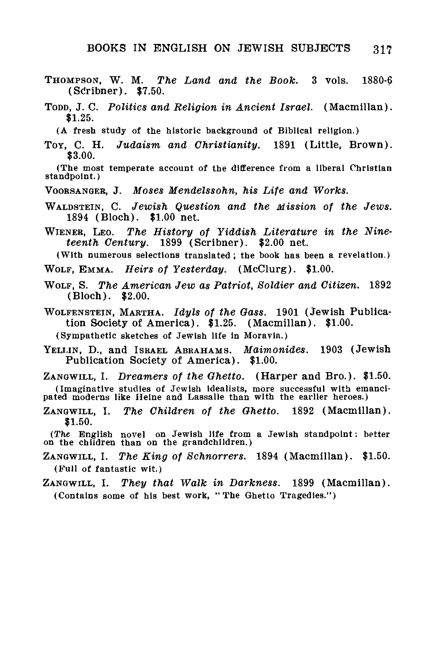- THOMPSON, W. M. *The Land and the Book.* 3 vols. 1880-6 (ScYibner). \$7.50.
- TODD, J. C. *Politics and Religion in Ancient Israel.* (Macmillan). \$1.25.
	- (A fresh study of the historic background of Biblical religion.)
- TOY, C. H. *Judaism and Christianity.* 1891 (Little, Brown). \$3.00.

(The most temperate account of the difference from a liberal Christian standpoint.)

- VOOBSANGER, J. *Moses Mendelssohn, his Life and Works.*
- WALDSTEIN, C. *Jewish Question and the Mission of the Jews.* 1894 (Bloch). \$1.00 net.
- WIENEB, LEO. *The History of Yiddish Literature in the Nineteenth Century.* 1899 (Scribner). \$2.00 net.
- (With numerous selections translated; the book has been a revelation.)
- WOLF, EMMA. *Heirs of Yesterday.* (McClurg). \$1.00.
- WOLF, S. *The American Jew as Patriot, Soldier and Citizen.* 1892 (Bloch). \$2.00.
- WOLFENSTEIN, MABTHA. *Idyls of the Oass.* 1901 (Jewish Publication Society of America). \$1.25. (Macmillan). \$1.00.

(Sympathetic sketches of Jewish life in Moravln.)

YELLIN, D., and ISBAEL ABRAHAMS. *Maimonides.* 1903 (Jewish Publication Society of America). \$1.00.

ZANGWILL, I. *Dreamers of the Ghetto.* (Harper and Bro.). \$1.50. (Imaginative studies of Jewish idealists, more successful with emanci-pated moderns like Heine and Lassalle than with the earlier heroes.)

ZANGWILL, I. *The Children of the Ohetto.* 1892 (Macmillan). \$1.50.

(The English novel on Jewish life from a Jewish standpoint: better on the children than on the grandchildren.)

- ZANGWILL, I. *The King of Schnorrers.* 1894 (Macmillan). \$1.50. (Full of fantastic wit.)
- ZANGWILL, I. *They that Walk in Darkness.* 1899 (Macmillan). (Contains some of his best work, "The Ghetto Tragedies.")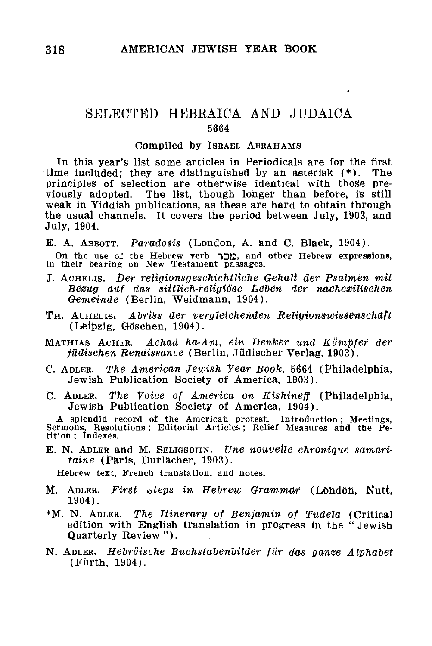# SELECTED HEBRAICA AND JTTDAICA 5664

#### Compiled by ISRAEL ABRAHAMS

In this year's list some articles in Periodicals are for the first time included; they are distinguished by an asterisk (\*). The principles of selection are otherwise identical with those previously adopted. The list, though longer than before, is still weak in Yiddish publications, as these are hard to obtain through the usual channels. It covers the period between July, 1903, and July, 1904.

E. A. ABBOTT. Paradosis (London, A. and C. Black, 1904).

On the use of the Hebrew verb <sub>2</sub>, and other Hebrew expressions,<br>in their bearing on New Testament passages.

- J. ACHELIS. *Der religionsgeschichttiche Gehait der Psalmen mit* Bezug auf das sittlich-religiöse Leben der nachexilischen *Gemeinde* (Berlin, Weidmann, 1904).
- T H. ACHELIS; *Abriss der vergleichenden Religionswisdenscihaft* (Leipzig, Goschen, 1904).
- MATHIAS ACHER. Achad ha-Am, ein Denker und Kämpfer der *jüdischen Renaissance* (Berlin, Jüdischer Verlag, 1903).
- C. ADLER. *The American Jewish Year Book,* 5664 (Philadelphia, Jewish Publication Society of America, 1903).
- C. ADLER. *The Voice of America on Kishineff* (Philadelphia, Jewish Publication Society of America, 1904).

A splendid record of the American protest. Introduction; Meetings, Sermons, Resolutions; Editorial Articles; Relief Measures and the Petition ; Indexes.

E. N. ADLER and M. SELIGSOHN. *tine nouvelle chronique samaritaine* (Paris, Durlacher, 1903).

Hebrew text, French translation, and notes.

- M. ADLER. *First* oteps *in Hebrew Grammar* (London, Nutt, 1904).
- \*M. N. ADLER. *The Itinerary of Benjamin of Tudela* (Critical edition with English translation in progress in the " Jewish Quarterly Review ").
- N. ADLER. *Hebrdische Buchstabenbilder fur das ganze Alphabet* (Furth, 1904).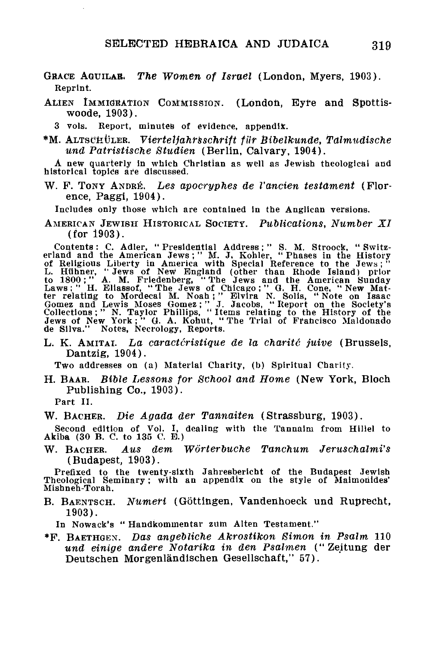- GRACE AGUILAB. *The Women of Israel* (London, Myers, 1903). Reprint.
- ALIEN IMMIGRATION COMMISSION. (London, Eyre and Spottiswoode, 1903).<br>3 vols. Report.
	- Report, minutes of evidence, appendix.
- \*M. ALTSCHÜLER. Vierteljahrsschrift für Bibelkunde, Talmudische *und Patristische Studien* (Berlin, Calvary, 1904).

A new quarterly In which Christian as well as Jewish theological and historical topics are discussed.

W. P. TONY ANDRE. *Les apocryphes de Vancien testament* (Florence, Paggi, 1904).

Includes only those which are contained in the Anglican versions.

AMERICAN JEWISH HISTORICAL SOCIETY. *Publications, Number XI* (for 1903).

Contents: C. Adler, "Presidential Address;" S. M. Stroock, "Switz-<br>erland and the American Jews;" M. J. Kohler, "Phases in the History<br>of Religious Liberty in America with Special Reference to the Jews;"<br>L. Hühner, "Jews o

L. K. AMITAI. La caractéristique de la charité juive (Brussels, Dantzig, 1904).

Two addresses on (a) Material Charity, (b) Spiritual Charity.

H. BAAH. *Bible Lessons for School and Home* (New York, Bloch Publishing Co., 1903).

Part II.

W. BACHER. *Die Agada der Tannaiten* (Strassburg, 1903).

Second edition of Vol. I, dealing with the Tannaim from Hillel to Akiba (30 B. C. to 135 C. E.)

W. BACKER. *AUS dem Worterbuche Tanchum Jeruschalmi's* (Budapest, 1903).

Prefixed to the twenty-sixth Jahresbericht of the Budapest Jewish Theological Seminary; with an appendix on the style of Malmonides' Mishneh-Torah.

B. BAENTSCH. *Numeri* (Gottingen, Vandenhoeck und Ruprecht, 1903).

In Nowack's " Handkommentar zilm Alten Testament."

\*F. BAETHGEX. *Das angebliche Akrostikon Simon in Psalm* 110 *und einige andere Notarika in den Psalmen* (" Zeitung der Deutschen Morgenlandischen Gesellschaft," 57).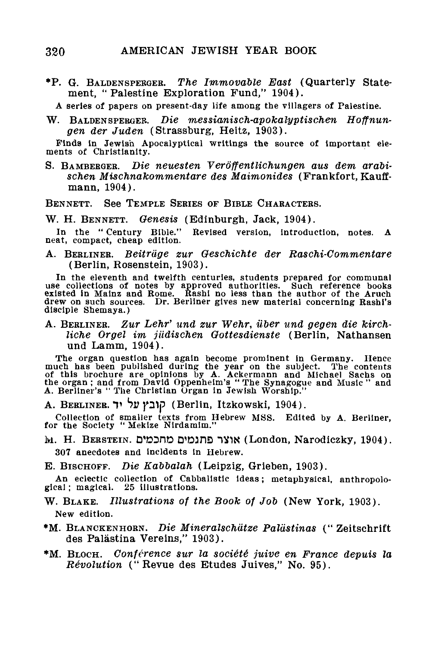•P. G. BALDENSPEKGEK. *The Immovable East* (Quarterly Statement, "Palestine Exploration Fund," 1904).

A series of papers on present-day life among the villagers of Palestine.

W. BALDENSPERGER. *Die messianisch-apokalyptischen Hoffnungen der Juden* (Strassburg, Heitz, 1903).

Finds in Jewish Apocalyptical writings the source of important elements of Christianity.

S. BAMBEBGER. *Die neuesten Veroffentlichungen aus dem arabischen Mischnakommentare des Maimonides* (Frankfort, Kauffmann, 1904).

BENNETT. See TEMPLE SERIES OF BIBLE CHARACTERS.

W. H. BENNETT. *Genesis* (Edinburgh, Jack, 1904).

Revised version, introduction, notes. A neat, compact, cheap edition.

A. BERLINER. *Beitrdge zur Oeschichte der Raschi-Commentare* (Berlin, Rosenstein, 1903).

In the eleventh and twelfth centuries, students prepared for communal use collections of notes by approved authorities. Such reference books<br>existed in Mainz and Rome. Rashi no less than the author of the Aruch<br>disciple Shemaya.)<br>disciple Shemaya.)

A. BERLINER. *Zur Lehr' und zur Wehr, uber und gegen die kirchliche Or gel im jildischen Oottesdienste* (Berlin, Nathansen und Lamm, 1904).

The organ question has again become prominent in Germany. Hence<br>much has been published during the year on the subject. The contents<br>of this brochure are opinions by A. Ackermann and Michael Sachs on<br>the organ; and from Da

A. BERLINER. T *hv* }»31p (Berlin, Itzkowski, 1904).

Collection of smaller texts from Hebrew MSS. Edited by A. Berliner, for the Society " Mekize Nirdamim."

lvl. H. BERSTEIN. D'DDnD D'DJDD "1V1K (London, Narodiczky, 1904). 307 anecdotes and Incidents in Hebrew.

E. BISCHOFF. *Die Kabbalah* (Leipzig, Grieben, 1903).

An eclectic collection of Cabbalistic ideas; metaphysical, anthropolo-<br>gical; magical. 25 illustrations. 25 illustrations.

- W. BLAKE. *Illustrations of the Book of Job* (New York, 1903). New edition.
- \*M. BLANCKENHORN. *Die Mineralschiitze Paliistinas* (" Zeitschrift des Palästina Vereins," 1903).
- \*M. BLOCH. *Conference sur la societe juive en France depuis la Revolution* ("Revue des Etudes Juives," No. 95).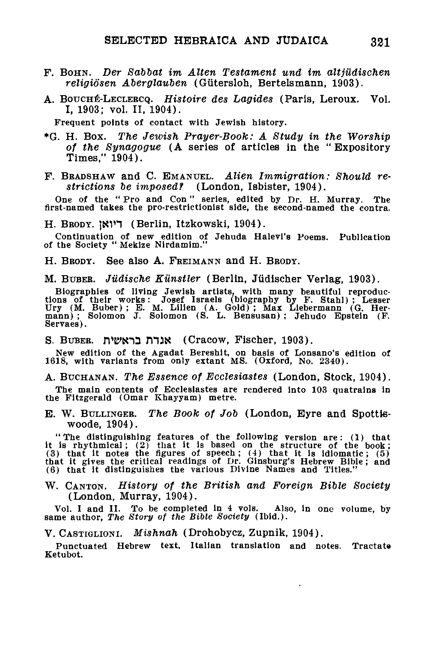- F. BOHN. *Der Sabbat im Alten Testament und im altjUdischen* religiösen Aberglauben (Gütersloh, Bertelsmann, 1903).
- A. BOUCH^-LECLEKCQ. *Histoire des Lagides* (Paris, Leroux. Vol. I, 1903; vol. II, 1904).

Frequent points of contact with Jewish history.

- \*G. H. Box. *The Jewish Prayer-Book,: A Study in the Worship of the Synagogue* (A series of articles in the " Expository Times," 1904).
- F. BRADSHAW and C. EMANUEL. *Alien Immigration: Should restrictions be imposed?* (London, Isbister, 1904).

One of the " Pro and Con" series, edited by Dr. H. Murray. The first-named takes the pro-restrictlonlst side, the 6econd-named the contra.

H. Brody. דיואן (Berlin, Itzkowski, 1904).

Continuation of new edition of Jehuda Halevi's Poems. Publication of the Society " Mekize Nirdamlm."

H. BRODY. See also A. FREIMANN and H. BRODY.

M. BUBEB. *Judische Eilnstler* (Berlin, Judischer Verlag, 1903).

Biographies of living Jewish artists, with many beautiful reproductions of their works: Josef Israels (biography by F. Stahl); Lesser<br>Ury (M. Buber); E. M. Lilien (A. Gold); Max Liebermann (G. Her-<br>mann); Solomon J. Solomo Servaes).

S. BUBER. אנרת בראשית (Cracow, Fischer, 1903).

New edition of the Agadat Bereshit, on basis of Lonsano's edition of 1618, with variants from only extant MS. (Oxford, No. 2340).

A. BUCHANAN. *The Essence of Ecclesiastes* (London, Stock, 1904).

The main contents of Ecclesiastes are rendered into 103 quatrains In the Fitzgerald (Omar Khayyam) metre.

E. W. BULLINGER. *The Book of Job* (London, Eyre and Spotttswoode, 1904).

"The distinguishing features of the following version are: (1) that<br>it is rhythmical; (2) that it is based on the structure of the book;<br>(3) that it notes the figures of speech; (4) that it is idlomatic; (5)<br>that it gives

W. CANTON. *History of the British and Foreign Bible Society* (London, Murray, 1904).

Vol. I and II. To be completed in 4 vols. Also, in one volume, by same author, *The Story of the Bible Society* (Ibid.).

V. CASTIGLIONI. *Mishnah* (Drohobycz, Zupnik, 1904).

Punctuated Hebrew text, Italian translation and notes. Tractate Ketubot.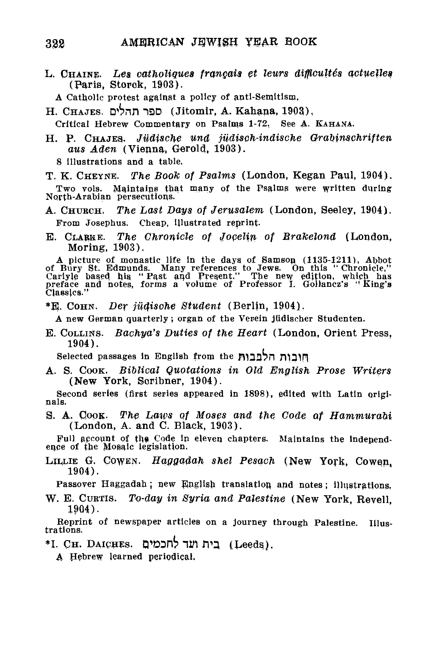L. CHAINE. Les catholiques français et leurs difficultés actuelles (Paris, Storck, 1903).

A Catholic protest against a policy of anti-Semitism,

H. CHAJES. *D'bnn* nSD (Jitomir, A. Kahana, 1903),

Critical Hebrew Commentary on Psalms 1-72, See A. KAHANA.

H. P. CHAJE3- *Jiidische und judisch-indische Orabinschriften aus Aden* (Vienna, Gerald, 1903).

8 illustrations and a table.<br>T. K. CHEYNE. The Book The Book of Psalms (London, Kegan Paul, 1904).

Two vols. Maintains that many of the Psalms were written during North-Arabian persecutions.

A. CHUBCH. *The Last Days of Jerusalem* (London, Seeley, 1904). From Josephus. Cheap, illustrated reprint-

E. CLABKE. *The Chronicle of Jocelin of Brakelond* (London, Moring, 1903).

A picture of monastic life in the days of Samson (1135-1211), Abbot<br>of Bury St. Edmunds. Many references to Jews. On this "Chronicle,"<br>Carlyle based his "Past and Present." The new edition, which has<br>preface and notes, for

\*E. COHN. *Der jiidische Student* (Berlin, 1904).

A new German quarterly ; organ of the Verein jiidischer Studenten.

E. COLLINS. *Bachya's Duties of the Heart* (London, Orient Press, 1904).

Selected passages in English from the fil32?n JTl3in

A. S. COOK. *Biblical Quotations in Old English Prose Writers* (New York, Soribner, 1904).

Second series (first series appeared in 1898), edited with Latin originals.

9. A. COOK- *The Laws of Moses and the Code of Hammurahi* (London, A. and C. Black, 1903).

Pull account of the Code in eleven chapters. Maintains the independence of the Mosaic legislation.

LJLLIE G. COWEN. *Haggadah shel Pesach* (New York, Cowen, 1904).

Passover Haggadah; new English translation and notes; illustrations.<br>W. E. CURTIS. To-day in Syria and Palestine (New York, Revell.

W. E. CURTIS. *To-day in Syria and Palestine* (New York, Revell,

1904). Reprint of newspaper articles on a journey through Palestine. Illustrations.

\*I. CH. DAIPUES. Q»O3r6 "IM TV} (Leeds),

A Hebrew learned periodical.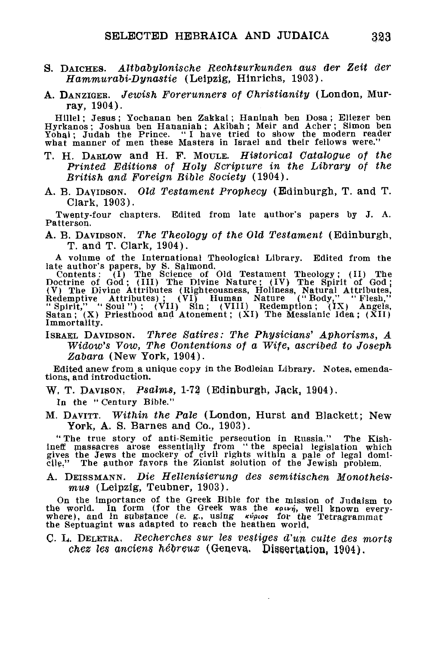- S. DAICHES. *Altbdbylonische Rechtsurkunden aus der Zeit der Hammurabi-Dynastie* (Leipzig, Hinrichs, 1903).
- A. DANZIGER. *Jewish Forerunners of Christianity* (London, Murray, 1904).

Hillel; Jesus ; Yochanan ben Zakkai; Haninah ben Dosa ; Eliezer ben Hyrkanos; Joshua ben Hananiah ; Akibah ; Meir and Acher; Simon ben Yohai; Judah the Prince. " I have tried to show the modern reader what manner of men these Masters in Israel and their fellows were."

- T. H. DABLOW and H. F. MOULE. *Historical Catalogue of the Printed Editions of Holy Scripture in the Library of the British and Foreign Bible Society* (1904).
- A. B. DAVIDSON. *Old Testament Prophecy* (Edinburgh, T. and T. Clark, 1903).

Twenty-four chapters. Edited from late author's papers by J. A. Patterson.

A. B. DAVIDSON. *The Theology of the Old Testament* (Edinburgh, T. and T. Clark, 1904).

A volume of the International Theological Library. Edited from the

late author's papers, by S. Salmond.<br>
Contents: (1) The Science of Old Testament Theology; (11) The<br>
Content of God; (III) The Divine Nature; (IV) The Spirit of God;<br>
(V) The Divine Attributes (Righteousness, Holiness, Nat Immortality.

ISRAEL DAVIDSON. *Three Satires: The Physicians' Aphorisms, A Widow's Vow, The Contentions of a Wife, ascribed to Joseph Zabara* (New York, 1904).

Edited anew from a unique copy in the Bodleian Library. Notes, emendations, and introduction.

W, T. DAVISON, *Psalms,* 1-72 (Edinburgh, Jack, 1904).

In the " Century Bible."

M. DAVITT. *Within the Pale* (London, Hurst and Blackett; New York, A. S. Barnes and Co., 1903).

"The true story of anti-Semitic persecution in Russia." The Kish-<br>ineff massacres arose essentially from "the special legislation which<br>gives the Jews the mockery of civil rights within a pale of legal domi-<br>cile." The aut

A. DEISSMANN. *Die Hellenisierung des semitischen Monotheismus* (Leipzig, Teubner, 1903).

On the importance of the Greek Bible for the mission of Judaism to<br>the world. In form (for the Greek was the *kown*, well known every-<br>where), and in substance (e. g., using  $\frac{e^{i\phi}}{2}$  where the Tetragrammat<br>the Septu

C. L. DELETRA. *Recherches sur les vestiges d'un culte des morts chez les anciens hebreux* (Genera, Dissertation, 1904).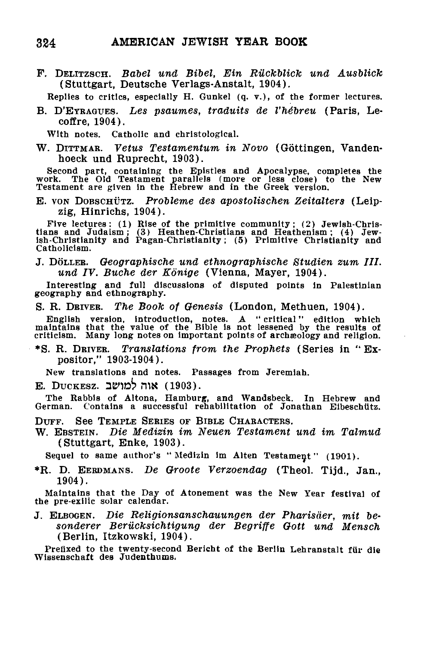P. DELITZSCH. *Babel und Bibel, Ein Riickblick und Ausblick* (Stuttgart, Deutsche Verlags-Anstalt, 1904).

Replies to critics, especially H. Gunkel  $(q, v, )$ , of the former lectures.

B. D'EYRAGUES. Les psaumes, traduits de l'hébreu (Paris, Lecoffire, 1904).

With notes. Catholic and christological.

W. DITTMAE. *Vetus Testamentum in Novo* (Gottingen, Vandenhoeck und Ruprecht, 1903).

Second part, containing the Epistles and Apocalypse, completes the work. The Old Testament parallels (more or less close) to the New Testament are given in the Hebrew and in the Greek version.

E. VON DOBSCHUTZ. *Probleme des apostolischen Zeitalters* (Leipzig, Hinrichs, 1904).

Five lectures: (1) Rise of the primitive community; (2) Jewish-Chris-tians and Judaism; (3) Heathen-Christians and Heathenism; (4) Jew-ish-Christianity and Pagan-Christianity; (5) Primitive Christianity and Catholicism.

J. DOLLEE. *Oeographische und ethnogr aphis che Studien zum III. und IV. Buche der Konige* (Vienna, Mayer, 1904).

Interesting and full discussions of disputed points in Palestinian geography and ethnography.

S. R. DRIVER. *The Book of Genesis* (London, Methuen, 1904).

English version, introduction, notes. A "critical" edition which<br>maintains that the value of the Bible is not lessened by the results of<br>criticism. Many long notes on important points of archaeology and religion.

• S. R. DRIVER. *Translations from the Prophets* (Series in "Ex positor," 1903-1904).

New translations and notes. Passages from Jeremiah.

E. DUCKESZ. 3e>1D^> HIS (1903).

The Rabbis of Altona, Hamburg, and Wandsbeck. In Hebrew and German. Contains a successful rehabilitation of Jonathan Eibeschtitz.

DUFF. See TEMPLE SERIES OF BIBLE CHARACTERS.

W. EBSTEIN. *Die Medizin im Neuen Testament und im Talmud* (Stuttgart, Enke, 1903).

Sequel to same author's "Medizin im Alten Testament" (1901).

\*R. D. EERDMANS. *De Oroote Verzoendag* (Theol. Tijd., Jan., 1904).

Maintains that the Day of Atonement was the New Year festival of the pre-exilic solar calendar.

J. ELBOGEN. *Die Religionsanschauungen der Pharisder, mit besonderer Berucksichtigung der Begriffe Oott und Mensch* (Berlin, Itzkowski, 1904).

Prefixed to the twenty-second Bericht of the Berlin Lehranstalt für die Wissenschaft des Judenthums.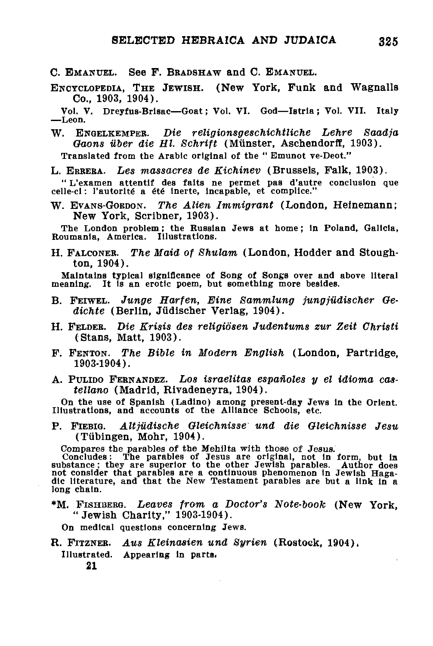C. EMANUEL. See F. BRADSHAW and C. EMANUEL.

ENCYCLOPEDIA, THE JEWISH. (New York, Funk and Wagnalls Co., 1903, 1904).

Vol. V. Dreyfus-Brlsac—Goat; Vol. VI. God—Istrla; Vol. VII. Italy —Leon.

W. ENGELKEMPER. *Die religionsgeschichtliche Lehre Saadja* Gaons über die Hl. Schrift (Münster, Aschendorff, 1903).

Translated from the Arabic original of the " Emunot ve-Deot."

L. ERBEEA. *Les massacres de Kichinev* (Brussels, Falk, 1903).

" L'examen attentif des faits ne permet pas d'autre conclusion que celle-ci: l'autorité a été inerte, incapable, et complice."

W. EVANS-GOBDON. *The Alien Immigrant* (London, Heinemann; New York, Scribner, 1903).

The London problem; the Russian Jews at home; in Poland, Galicia,<br>Roumania, America. Illustrations.

H. FALCONER. *The Maid of Shulam* (London, Hodder and Stoughton, 1904).

Maintains typical significance of Song of Songs over and above literal meaning. It is an erotic poem, but something more besides.

- B. FEIWEL. *Junge Harfen, Eine Sammlung jungjiidischer Oedichte* (Berlin, Jiidischer Verlag, 1904).
- H. FELDER. *Die Krisis des religiosen Judentums zur Zeit Ohristi* (Stans, Matt, 1903).
- F. FENTON. *The Bible in Modern English* (London, Partridge, 1903-1904).
- A. PULIDO FERNANDEZ. *LOS israelitas espanoles y el idioma castellano* (Madrid, Rivadeneyra, 1904).

On the use of Spanish (Ladino) among present-day Jews in the Orient. Illustrations, and accounts of the Alliance Schools, etc.

P. FIEBIG. *Altjiidische Oleichnisse und die Gleichnisse Jesu* (Tubingen, Mohr, 1904).

Compares the parables of the Mehilta with those of Jesus.<br>Concludes: The parables of Jesus are original, not in form, but in<br>substance; they are superior to the other Jewish parables. Author does<br>not consider that parables

\*M. FISHBERG. *Leaves from a Doctor's Note-book* (New York, "Jewish Charity," 1903-1904).

On medical questions concerning Jews.

R. FITZNEB. *Aus Kleinasien und Syrien* (Rostock, 1904), Illustrated. Appearing in parts. **21**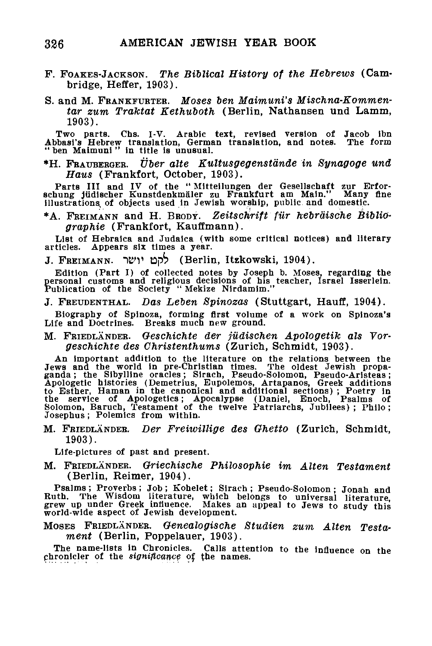- F. FOAKES-JACKSON. *The Biblical History of the Hebrews* (Cambridge, Heffer, 1903).
- S. and M. Frankfurter. Moses ben Maimuni's Mischna-Kommen*tar zum Traktat Kethuboth* (Berlin, Nathansen **und** Lamm, 1903).

Two parts. Chs. I-V. Arabic text, revised version of Jacob ibn Abbasl's Hebrew translation, German translation, and notes. The form " ben Maimuni " in title is unusual.

\*H. FRAUBERGER. *Tiber alte Kultusgegenstande in Synagoge und Haus* (Frankfort, October, 1903).

Parts III and IV of the "Mitteilungen der Gesellschaft zur Erfor-<br>schung jüdischer Kunstdenkmäler zu Frankfurt am Main." Many fine<br>illustrations of objects used in Jewish worship, public and domestic.

\*A. FREIMANN and H. BRODT. *Zeitschrift filr hebraische Bibliographie* (Frankfort, Kauffmann).

List of Hebraica and Judalca (with some critical notices) and literary articles. Appears six times a year.

J. FREIMANN. "iK>r **IDpb** (Berlin, Itzkowski, 1904).

Edition (Part I) of collected notes by Joseph b. Moses, regarding the personal customs and religious decisions of his teacher, Israel Isserlein. Publication of the Society " Mekize Nirdamim."

J. FREUDENTHAL. *Das Leben Spinozas* (Stuttgart, Hauff, 1904).

Biography of Spinoza, forming first volume of a work on Spinoza's Life and Doctrines. Breaks much new ground.

M. FRIEDLANDER. *Oeschichte der jildischen Apologetik als Vorgeschichte des Christenthums* (Zurich, Schmidt, 1903).

An important addition to the literature on the relations between the Jews and the world in pre-Christian times. The oldest Jewish propaganda; the Sibylline oracles; Sirach, Pseudo-Solomon, Pseudo-Apologetic histories (Deme

M. FRIEDLANDER. *Der Freiwillige des Ghetto* (Zurich, Schmidt, 1903).

Life-pictures of past and present.

M. FRIEDLANDER. *Griechische Philosophie im Alten Testament* (Berlin, Reimer, 1904).

Psalms; Proverbs; Job; Kohelet; Sirach; Pseudo-Solomon; Jonah and<br>Ruth. The Wisdom literature, which belongs to universal literature,<br>grew up under Greek influence. Makes an appeal to Jews to study this<br>world-wide aspect o

MOSES FRIEDLANDER. *Genealogische Studien zum Alten Testament* (Berlin, Poppelauer, 1903).

The name-lists in Chronicles. Calls attention to the influence on the chronicler of the *significance* of the names.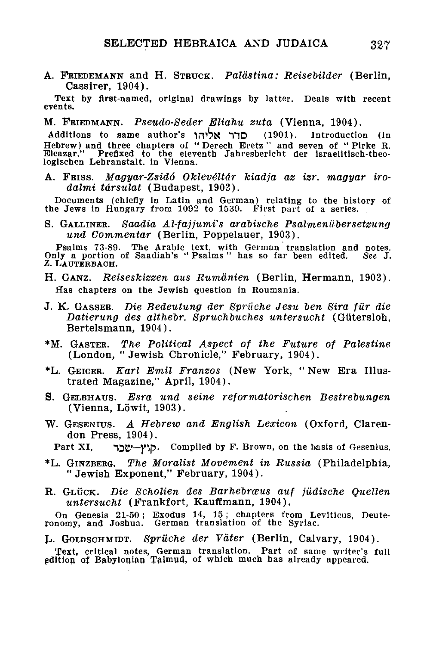A. FRIEDEMANN and H. STRUCK. Palästina: Reisebilder (Berlin, Cassirer, 1904).

Text by first-named, original drawings by latter. Deals with recent events.

M. FRIEDMANN. *Pseudo-Seder Eliahu zuta* (Vienna, 1904).

Additions to same author's כדר אליהו (1901). Introduction (in Hebrew) and three chapters of " Derech Eretz " and seven of " Plrke R. Eleazar." Prefixed to the eleventh Jahresbericht der israelitisch-theologischen Lehranstalt. in Vienna.

A. FRISS. *Magyar-Zsidd Okleve'ltdr kiadja az izr. magyar irodalmi tdrsulat* (Budapest, 1903).

Documents (chiefly in Latin and German) relating to the history of the Jews in Hungary from 1092 to 1539. First pait of a series.

S. GALLINER. Saadia Al-fajjumi's arabische Psalmeniibersetzung<br>und Commentar (Berlin, Poppelauer, 1903). *und Commentar* (Berlin, Poppelauer, 1903).

Psalms 73-89. The Arabic text, with German translation and notes.<br>Only a portion of Saadiah's "Psalms" has so far been edited. See J.<br>Z. LAUTERBACH.

- H. GANZ. *Reiseskizzen aus Rumdnien* (Berlin, Hermann, 1903). Has chapters on the Jewish question in Roumania.
- J. K. GASSEK. *Die Bedeutung der Bpriiche Jesu ten Sira fur die Datierung des althebr. Spruchbuches untersucht* (Gutersloh, Bertelsmann, 1904).
- \*M. GASTER. *The Political Aspect of the Future of Palestine* (London, "Jewish Chronicle," February, 1904).
- \*L. GEIGER. *Earl Emil Franzos* (New York, " New Era Illustrated Magazine," April, 1904).
- S. GELBHATJS. *Esra und seine reformatorischen Bestrebungen* (Vienna, Löwit, 1903).
- W. GESENIUS. *A Hebrew and English Lexicon* (Oxford, Clarendon Press, 1904).
	- Part XI, קוץ-שכר Compiled by F. Brown, on the basis of Gesenius.
- \*L. GINZBERG. *The Moralist Movement in Russia* (Philadelphia, "Jewish Exponent," February, 1904).
- R. GLÜCK. Die Scholien des Barhebræus auf jüdische Quellen *untersucht* (Frankfort, Kauffmann, 1904).

On Genesis 21-50 ; Exodus 14, 15 ; chapters from Leviticus, Deute-ronomy, and Joshua. German translation of the Syriac.

L. GOLDSCHMIDT. *Spruche der Vater* (Berlin, Calvary, 1904).

Text, critical notes, German translation. Part of same writer's full edition of Babylonian Talmud, of which much has already appeared.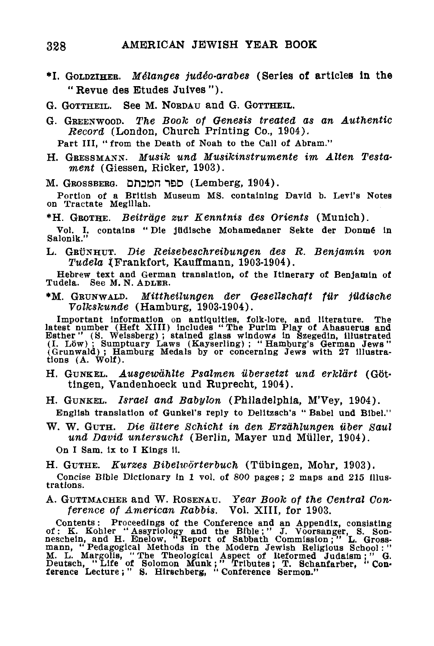- •I. GOLDZIHEB. *Melanges jud6o-arabes* (Series of articles In the "Revue des Etudes Juives").
- G. GOTTHEIL. See M. NORDAU and G. GOTTHEIL.
- G. GREENWOOD. *The Book of Genesis treated as an Authentic Record* (London, Church Printing Co., 1904).

Part III, " from the Death of Noah to the Call of Abram."

H. GRESSMANN. *Musik und Musikinstrumente im Alten Testament* (Giessen, Ricker, 1903).

M. GROSSBERG. Droon "1DD (Lemberg, 1904).

Portion of a British Museum MS. containing David b. Levi's Notes on Tractate Megillah.

\*H. GROTHE. *Beitrdge zur Kenntnis des Orients* (Munich).

Vol. I. contains " Die jtidlsche Mohamedaner Sekte der Donme In Salonik.

L. GRUNHUT. *Die Reisebeschreibungen des R. Benjamin von Tudela* {Frankfort, Kauffmann, 1903-1904).

Hebrew text and German translation, of the Itinerary of Benjamin of Tudela. See M.N. ADLER.

\*M. GRUNWALD. *Mittheilungen der Gesellschaft filr jttdische Volkskunde* (Hamburg, 1903-1904).

Important information on antiquities, folk-lore, and literature. The latest number (Heft XIII) includes "The Purim Play of Ahasuerus and Esther" (S. Weissberg); stained glass windows in Szegedin, illustrated (I. Löw); Sump tions (A. Wolf).

- H. GUNKEL. *Ausgeumhlte Psalmen ubersetzt und erklart* (Gottingen, Vandenhoeck und Ruprecht, 1904).
- H. GUNKEL. *Israel and Babylon* (Philadelphia, M'Vey, 1904). English translation of Gunkel's reply to Delltzsch's " Babel und Blbel."
- W. W. GUTH. *Die altere Schicht in den Erzdhlungen tiber Saul* und David untersucht (Berlin, Mayer und Müller, 1904). On I Sam. ix to I Kings 11.

H. GUTHE. *Kurzes Bibelworterbuch* (Tubingen, Mohr, 1903).

Concise Bible Dictionary in 1 vol. of 800 pages; 2 maps and 215 illustrations.

A. GUTTMACHER and W. ROSENAU. *Year Book of the Central Conference of American Rabbis.* Vol. XIII, for 1903.

Contents: Proceedings of the Conference and an Appendix, consisting of : K. Kohler "Assyriology and the Bible;" J. Voorsanger, S. Son-<br>meschein, and H. Enelow, "Report of Sabbath Commission;" L. Gross-<br>mann, "Pedagogical M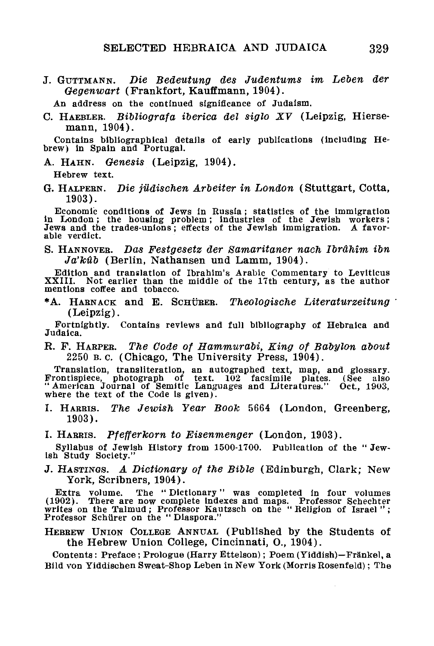J. GUTTMANN. *Die Bedeutung des Judentums im Leben der Oegenwart* (Frankfort, Kauffmann, 1904).

An address on the continued significance of Judaism.

C. HAEBLEB. *Bibliografa iberica del siglo XV* (Leipzig, Hiersemann, 1904).

Contains bibliographical details of early publications (including Hebrew) in Spain and Portugal.

- A. HAHN. *Genesis* (Leipzig, 1904). Hebrew text.
- G. HALPERN. *Die judischen Arbeiter in London* (Stuttgart, Cotta, 1903).

Economic conditions of Jews in Russia; statistics of the Immigration in London; the housing problem; industries of the Jewish workers; Jews and the trades-unions; effects of the Jewish immigration. A favorable verdict.

S. HANNOVER. *Das Festgesetz der Samaritaner nach Ibrahim ibn Ja'kub* (Berlin, Nathansen und Lamm, 1904).

Edition and translation of Ibrahim's Arabic Commentary to Leviticus XXIII. Not earlier than the middle of the 17th century, as the author mentions coffee and tobacco.

\*A. HABNACK and E. SCHUEER. *Theologische Literaturzeitung* (Leipzig).

Fortnightly. Contains reviews and full bibliography of Hebraica and Judaica.

R. F. HARPER. *The Code of Hammurabi, King of Babylon about* 2250 B.C. (Chicago, The University Press, 1904).

Translation, transliteration, an autographed text, map, and glossary. Frontispiece, photograph of text. 102 facsimile plates. (See also " American Journal of Semitic Languages and Literatures." Oct., 1903, where the text of the Code is given).

I. HARRIS. *The Jewish Year Book* 5664 (London, Greenberg, 1903).

I. HARRIS. *Pfefferkorn to Eisenmenger* (London, 1903).

Syllabus of Jewish History from 1500-1700. Publication of the " Jewish Study Society."

J. HASTINGS. *A Dictionary of the Bible* (Edinburgh, Clark; New York, Scribners, 1904).

Extra volume. The " Dictionary" was completed in four volumes (1902). There are now complete indexes and maps. Professor Schechter writes on the Talmud ; Professor Kautzsch on the " Religion of Israel " ; Professor Schiirer on the " Diaspora."

HEBREW UNION COLLEGE ANNUAL (Published by the Students of the Hebrew Union College, Cincinnati, O., 1904).

Contents: Preface; Prologue (Harry Ettelson); Poem (Yiddish)-Fränkel, a Bild von Yiddischen Sweat-Shop Leben in New York (Morris Rosenfeld); The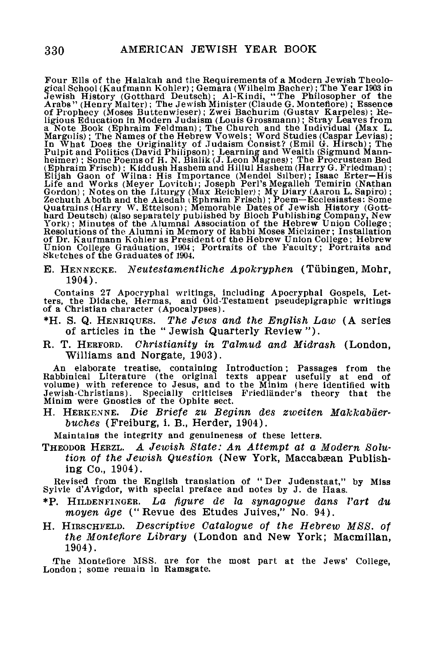Four Ells of the Halakah and the Requirements of a Modern Jewish Theological School (Kaufmann Kohler); Genra 1993 in<br>Jewish History (Gotthard Deutsch); Al-Kindi, "The Philosopher of the<br>Arabs" (Henry Malter); The Jewish Mi

E. HENNECKE. *Neutestamentliche Apokryphen* (Tubingen, Mohr, 1904).

Contains 27 Apocryphal writings, including Apocryphal Gospels, Let-ters, the Didache, Hermas, and Old-Testament pseudepigraphic writings of a Christian character (Apocalypses).

- \*H. S. Q. HENRIQUES. *The Jews and the English Law* (A series of articles in the "Jewish Quarterly Review").
- R. T. HEBFORD. *Christianity in Talmud and Midrash* (London, Williams and Norgate, 1903).

An elaborate treatise, containing Introduction; Passages from the<br>Rabbinical Literature (the original texts appear usefully at end of<br>volume) with reference to Jesus, and to the Minim (here identified with<br>Jewish-Christian Minim were Gnostics of the Ophite sect.

H. HERKENNE. *Die Briefe zu Beginn des zweiten Makkabderbuches* (Freiburg, i. B., Herder, 1904).

Maintains the integrity and genuineness of these letters.

THEODOR HERZL. *A Jewish State: An Attempt at a Modern Solution of the Jewish Question* (New York, Maccabæan Publishing Co., 1904).

Revised from the English translation of " Der Judenstaat," by Miss Sylvie d'Avigdor, with special preface and notes by J. de Haas.

- \*P. HILDENFINGER. *La figure de la synagogue dans Vart du moyen age* ("Revue des Etudes Juives," No. 94).
- H. HIRSCHFELD. *Descriptive Catalogue of the Hebrew M8S. of the Monteflore Library* (London and New York; Macmillan, 1904).

The Monteflore MSS. are for the most part at the Jews' College, London ; some remain in Ramsgate.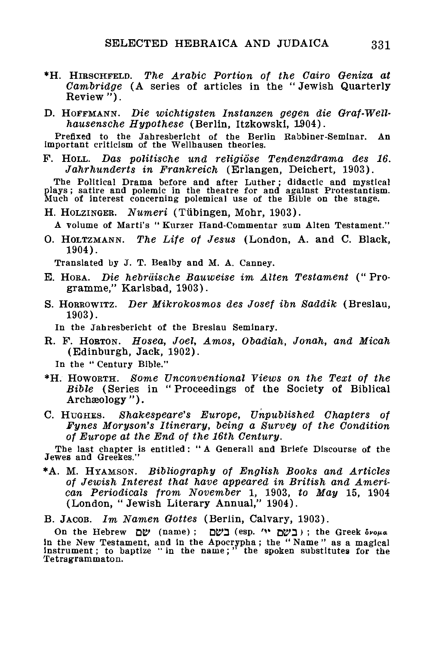- \*H. HIRSCHFELD. *The Arabic Portion of the Cairo Oeniza at Cambridge* (A series of articles in the " Jewish Quarterly Review ").
- D. HOFFMANN. *Die wichtigsten Instanzen gegen die Graf-Wellhausensche Hypothese* (Berlin, Itzkowski, 1904).

Prefixed to the Jahresberieht of the Berlin Kabbiner-Seminar. An important criticism of the Wellhausen theories.

P. HOLL. *Das politische und religiose Tendenzdrama des 16. Jahrhunderts in Frankreich* (Erlangen, Deichert, 1903).

The Political Drama before and after Luther; didactic and mystical plays; satire and polemic in the theatre for and against Protestantism. Much of interest concerning polemical use of the Bible on the stage.

H. HOLZINGEK. *Numeri* (Tubingen, Mohr, 1903).

A volume of Marti's " Kurzer Hand-Commentar zum Alten Testament."

0. HOLTZMANN. *The Life of Jesus* (London, A. and C. Black, 1904).

Translated by J. T. Bealby and M. A. Canney.

- E. HORA. *Die hebrdische Bauweise im Alten Testament* ("Programme," Karlsbad, 1903).
- S. HORKOWITZ. *Der Mikrokosmos des Josef ibn Saddik* (Breslau, 1903).

In the Jahresbericht of the Breslau Seminary.

R. F. HOETON. *Hosea, Joel, Amos, Obadiah, Jonah, and Micah* (Edinburgh, Jack, 1902).

In the " Century Bible."

- \*H. HOWORTH. *Some Unconventional Views on the Text of the Bible* (Series in "Proceedings of the Society of Biblical Archaeology").
- C. HUGHES. *Shakespeare's Europe, Unpublished Chapters of Fynes Moryson's Itinerary, being a Survey of the Condition of Europe at the End of the 16th Century.*

The last chapter is entitled : " A Generall and Briefe Discourse of the Jewes and Greekes."

•A. M. HYAMSON. *Bibliography of English Books and Articles of Jewish Interest that have appeared in British and American Periodicals from November* 1, 1903, *to May* 15, 1904 (London, "Jewish Literary Annual," 1904).

B. JACOB. *Im Namen Oottes* (Berlin, Calvary, 1903).

On the Hebrew <u>(בשם (esp. '"); the Greek</u> ovoua in the New Testament, and in the Apocrypha ; the " Name " as a magical Instrument; to baptize " in the name; " the spoken substitutes for the Tetragrammaton.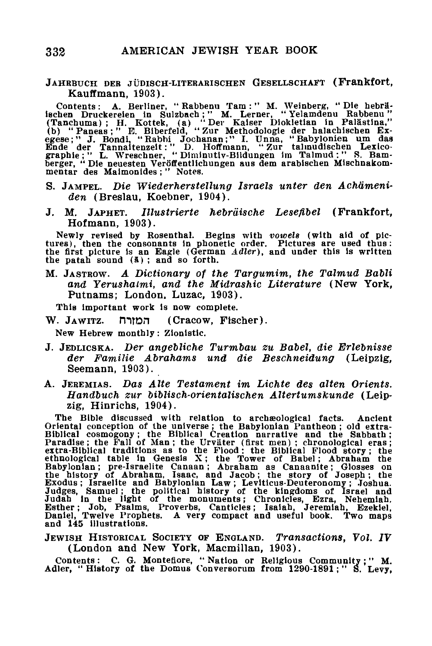#### JAHRBUCH DER JUDISCH-LITERARISCHEN GESELLSCHAFT (Frankfort, Kauffmann, 1903).

Contents: A. Berliner, "Rabbenu Tam:" M. Weinberg, "Die hebrä-<br>ischen Druckereien in Sulzbach; "M. Lerner, "Yelamdenu Rabbenu"<br>(Tanchuma); H. Kottek, (a) "Der Kaiser Diokletian in Palästina,"<br>(b) "Paneas; "E. Biberfeld, "Z

- S. JAMPEL. *Die Wiederherstellung Israels unter den Achdmeniden* (Breslau, Koebner, 1904).
- J. M. JAPHET. *Illustrierte hebrdische Lesefibel* (Frankfort, Hofmann, 1903).

Newly revised by Rosenthal. Begins with *vowels* (with aid of pictures), then the consonants in phonetic order. Pictures are used thus: the first picture is an Eagle (German *Adler),* and under this is written the patah sound (5) ; and so forth.

M. JASTROW. *A Dictionary of the Targumim, the Talmud Babli and Yerushatmi, and the Midrashic Literature* (New York, Putnams; London. Luzac, 1903).

This important work is now complete.

W. JAWITZ. המורח (Cracow, Fischer).

New Hebrew monthly: Zlonlstlc.

- J. JEDLICSKA. *Der angebliche Turmbau zu Babel, die Erlebnisse der Familie Abrahams und die Beschneidung* (Leipzig, Seemann, 1903).
- A. JEBEMIAS. *Das Alte Testament im Lichte des alten Orients. Handbuch zur biblisch-orientalischen Altertumskunde* (Leipzig, Hinrichs, 1904).

The Bible discussed with relation to archaeological facts. Ancient<br>Oriental conception of the universe; the Babylonian Pantheon; old extra-<br>Biblical cosmogony; the Biblical Creation narrative and the Sabbaht);<br>Paradise; th

JEWISH HISTORICAL SOCIETY OF ENGLAND. Transactions, Vol. IV (London and New York, Macmillan, 1903).

Contents: C. G. Montefiore, " Nation or Religious Community;" M. Adler, " History of the Domus Conversorum from 1290-1891; " S. Levy,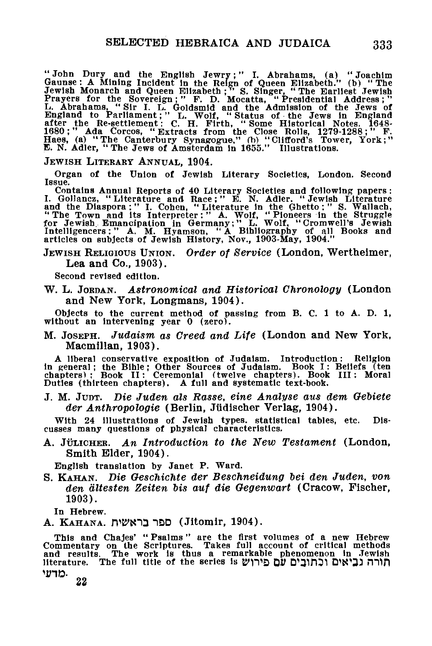"John Dury and the English Jewry;" I. Abrahams, (a) "Joachim Gaunse: A Mining Incident in the Reign of Queen Elizabeth." (b) "The Jewish Hewest Arewish Prayers for the Sovereign; "F. D. Mocatta, "Presidential Address;"<br>L.

JEWISH LITERARY ANNUAL, 1904.

Organ of the Union of Jewish Literary Societies, London. Second Issue.

Contains Annual Reports of 40 Literary Societies and following papers :<br>
I. Gollancz, "Literature and Race;" E. N. Adler. "Jewish Literature<br>
and the Diaspora :" I. Cohen, "Literature in the Ghetto;" S. Wallach,<br>
"The Town

#### JEWIS H RELIGIOUS UNION. *Order of Service* (London, Wertheimer, Lea and Co., 1903).

Second revised edition.

W. L. JORDAN. *Astronomical and Historical Chronology* (London and New York, Longmans, 1904).

Objects to the current method of passing from B. C. 1 to A. D. 1, without an intervening year 0 (zero).

M. JOSEPH. *Judaism as Greed and Life* (London and New York, Macmillan, 1903).

A liberal conservative exposition of Judaism. Introduction: Religion in general ; the Bible; Other Sources of Judaism. Book I : Beliefs (ten chapters); Book II: Ceremonial (twelve chapters). Book III: Moral Duties (thirteen chapters). A full and systematic text-book.

J. M. JUDT. *Die Juden als Rasse, eine Analyse aus dem Oeoiete der Anthropologie* (Berlin, Jiidischer Verlag, 1904).

With 24 illustrations of Jewish types, statistical tables, etc. Discusses many questions of physical characteristics.

A. JULICHER. *An Introduction to the New Testament* (London, Smith Elder, 1904).

English translation by Janet P. Ward.

S. KAHAN. *Die Oeschichte der Beschneidung oei den Juden, von den dltesten Zeiten bis auf die Oegenwart* (Cracow, Fischer, 1903).

In Hebrew.

A. KAHANA. כפר בראשית (Jitomir, 1904).

This and Chajes' " Psalms" are the first volumes of a new Hebrew Commentary on the Scriptures. Takes full account of critical methods and results. The work 1B thus a remarkable phenomenon In Jewish literature. The full title of the series is **"מורה נביאים וכתובים עם** פירוש מדעי.

**22**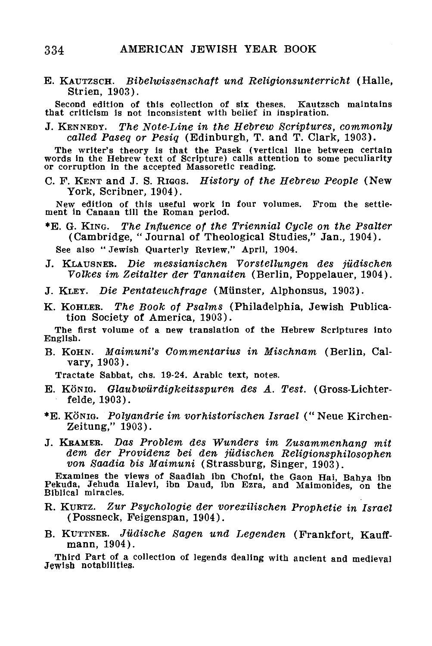E. KAUTZSCH. *Bibelwissenschaft und Religionsunterricht* (Halle, Strien, 1903).

Second edition of this collection of six theses. Kautzsch maintains that criticism is not inconsistent with belief in inspiration.

J. KENNEDY. *The Note-Line in the Hebrew Scriptures, commonly called Paseq or Pesiq* (Edinburgh, T. and T. Clark, 1903).

The writer's theory is that the Pasek (vertical line between certain words in the Hebrew text of Scripture) calls attention to some peculiarity or corruption in the accepted Massoretic reading.

C. F. KENT and J. S. RIGGS. *History of the Hebrew People* (New York, Scribner, 1904).

New edition of this useful work In four volumes. From the settlement in Canaan till the Roman period.

•E. G. KING. *The Influence of the Triennial Cycle on the Psalter* (Cambridge, "Journal of Theological Studies," Jan., 1904).

See also " Jewish Quarterly Review," April, 1904.

- J. KLAUSNEB. *Die messianischen Vorstellungen des jiidischen Volkes im Zeitalter der Tannaiten* (Berlin, Poppelauer, 1904).
- J. KLEY. *Die Pentateuchfrage* (Miinster, Alphonsus, 1903).
- K. KOHLEK. *The Book of Psalms* (Philadelphia, Jewish Publication Society of America, 1903).

The first volume of a new translation of the Hebrew Scriptures into English.

B. KOHN. *Maimuni's Commentarius in Mischnam* (Berlin, Calvary, 1903).

Tractate Sabbat, chs. 19-24. Arabic text, notes.

- E. KONIG. *Glaubwiirdigkeitsspuren des A. Test.* (Gross-Lichterfelde, 1903).
- \*E. KONIG. *Polyandrie im vorhistorischen Israel* (" Neue Kirchen-Zeitung," 1903).
- J. KBAMEB. *Das Problem des Wunders im Zusammenhang mit dem der Providenz bei den jiidischen Religionsphilosophen von Saadia bis Maimuni* (Strassburg, Singer, 1903).

Examines the views of Saadiah ibn Chofni, the Gaon Hai, Bahya ibn Pekuda, Jehuda Halevi, ibn Daud, ibn Ezra, and Maimonides, on the Biblical miracles.

- R. KUKTZ. *Zur Psychologie der vorexilischen Prophetie in Israel* (Possneck, Feigenspan, 1904).
- B. KUTTNEB. *Jildische Sagen und Legenden* (Frankfort, Kauffmann, 1904).

Third Part of a collection of legends dealing with ancient and medieval Jewish notabilities.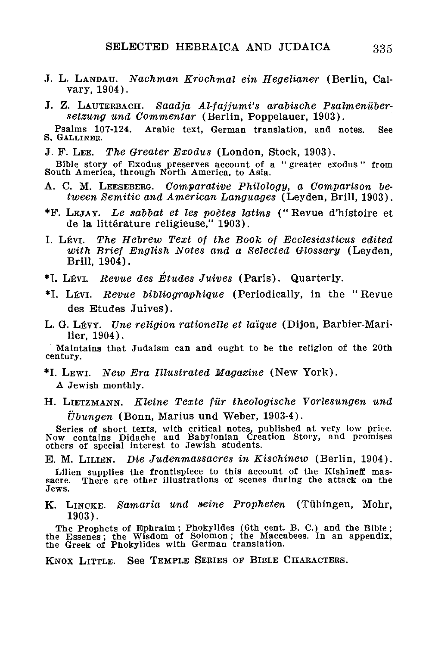- J. L. LANDAU. *Nachman Erochmal ein Hegelianer* (Berlin, Calvary, 1904).
- J. Z. LAUTEBBACH. *Saadja Al-fajjumi's arabische Psalmeniibersetzung und Commentar* (Berlin, Poppelauer, 1903).

Psalms 107-124. Arabic text, German translation, and notes. See S. GALLINEK.

J. F. LEE. *The Greater Exodus* (London, Stock, 1903).

Bible story of Exodus preserves account of a " greater exodus " from South America, through North America, to Asia.

- A. C. M. LEESEBERG. *Comparative Philology, a Comparison between Semitic and American Languages* (Leyden, Brill, 1903).
- •F. LEJAY. *he saobat et les poetes latins* (" Revue d'histoire et de la littérature religieuse," 1903).
- I. LEVI. *The Hebrew Text of the Book of Ecclesiasticus edited with Brief English Notes and a Selected Glossary* (Leyden, Brill, 1904).
- \*I. Lfivi. *Revue des Etudes Juives* (Paris). Quarterly.
- \*I. LEVI. *Revue bibliographique* (Periodically, in the " Revue des Etudes Juives).
- L. G. LEVY. *Une religion rationelle et laique* (Dijon, Barbier-Marilier, 1904).

Maintains that Judaism can and ought to be the religion of the 20th century.

- \*I. LEWI. *New Era Illustrated Magazine* (New York). A Jewish monthly.
- H. LIETZMANN. *Kleine Texte fur theologische Vorlesungen und ijbungen* (Bonn, Marius und Weber, 1903-4).

Series of short texts, with critical notes, published at very low price. Now contains Didache and Babylonian Creation Story, and promises others of special interest to Jewish students.

E. M. LILIEN. *Die Judenmassacres in Kischinew* (Berlin, 1904).

Lilien supplies the frontispiece to this account of the Kishineff massacre. There are other illustrations of scenes during the attack on the There are other illustrations of scenes during the attack on the Jews.

K. LINCKE. *Samaria und seine Propheten* (Tubingen, Mohr, 1903).

The Prophets of Ephraim ; Phokylides (6th cent. B. C.) and the Bible; the Essenes; the Wisdom of Solomon; the Maccabees. In an appendix, the Greek of Phokylides with German translation.

KNOX LITTLE. See TEMPLE SERIES OF BIBLE CHARACTERS.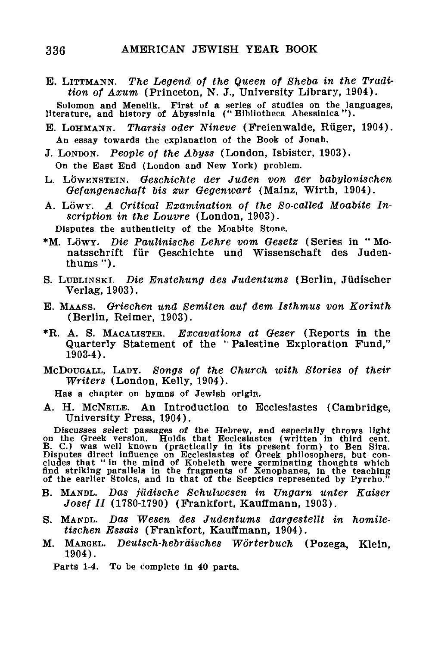E. LITTMANN. *The Legend of the Queen of Sheba in the Tradition of Axum* (Princeton, N. J., University Library, 1904).

Solomon and Menellk. First of a series of studies on the languages, literature, and history of Abyssinia (" Bibliotheca Abessinica").

- E. LOHMANN. *Tharsis Oder Nineve* (Freienwalde, Ruger, 1904). An essay towards the explanation of the Book of Jonah.
- J. LONDON. *People of the Abyss* (London, Isbister, 1903). On the East End (London and New York) problem.
- L. LOWENSTEIN. *Oeschichte der Juden von der babylonischen Oefangenschaft bis zur Oegenwart* (Mainz, Wirth, 1904).
- A. LOWY. *A Critical Examination of the So-called Moabite Inscription in the Louvre* (London, 1903).

Disputes the authenticity of the Moabite Stone.

- \*M. LOWY. *Die Paulinische Lehre vom Oesetz* (Series in " Monatsschrift fur Geschichte und Wissenschaft des Judenthums ").
- S. LUBLINSKI. *Die Enstehung des Judentums* (Berlin, Jiidischer Verlag.1903).
- E. MAASS. *Griechen und Semiten auf dem Isthmus von Eorinth* (Berlin, Reimer, 1903).
- \*R. A. S. MACAUSTER. *Excavations at Oezer* (Reports in the Quarterly Statement of the '' Palestine Exploration Fund," 1903-4).
- MCDOTJGALL, LADY. *Songs of the Church with Stories of their Writers* (London, Kelly, 1904).

Has a chapter on hymns of Jewish origin.

A. H. MCNEILE. An Introduction to Ecclesiastes (Cambridge,

University Press, 1904).<br>
Discusses select passages of the Hebrew, and especially throws light<br>
on the Greek version. Holds that Ecclesiastes (written in third cent.<br>
B. C.) was well known (practically in its present form)

- B. MANDL. *Das jildische Schulwesen in Vngarn unter Kaiser Josef II* (1780-1790) (Frankfort, Kauffmann, 1903).
- S. MANDL. Das *Wesen des Judentums dargestellt in homiletischen Essais* (Frankfort, Kauffmann, 1904).
- M. MARGEL. *Deutsch-hebrdisches Worterbuch* (Pozega, Klein, 1904).

Parts 1-4. To be complete in 40 parts.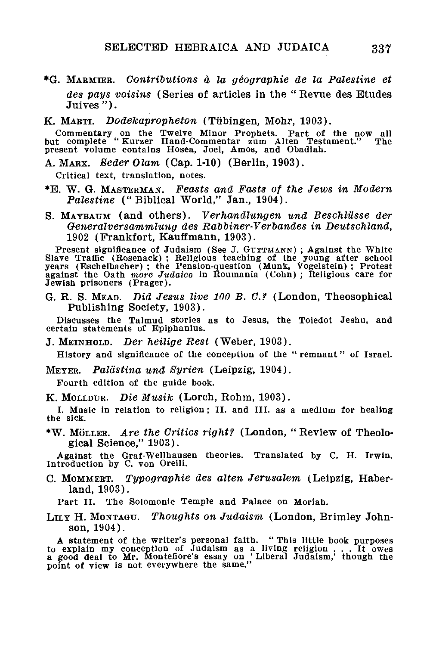- \*G. MAEMIER. *Contributions d, la geographie de la Palestine et des pays voisins* (Series of articles in the "Revue des Etudes Juives").
- K. MAETI. *Dodekapropheton* (Tubingen, Mohr, 1903).

Commentary on the Twelve Minor Prophets. Part of the now all but complete " Kurzer Hand-Commentar zum Alten Testament." The present volume contains Hosea, Joel, Amos, and Obadiah.

A. MAEX. *Seder Olam* (Cap. 1-10) (Berlin, 1903).

Critical text, translation, notes.

- \*E. W. G. MASTEEMAN. *Feasts and Fasts of the Jews in Modern Palestine* ("Biblical World," Jan., 1904).
- S. MAYBAUM (and others). *Verhandlungen und Beschlilsse der Oeneralversammlung des Rabbiner-Verbandes in Deutschland,* 1902 (Frankfort, Kauffmann, 1903).

Present significance of Judaism (See J. GUTTMANN); Against the White Slave Traffic (Bosenack) ; Religious teaching of the young after school years (Eschelbacher) ; the Pension-question (Munk, Vogelstein) ; Protest against the Oath *more Judaico* in Rouinania (Cohn) ; Religious care for Jewish prisoners (Prager).

G. R. S. MEAD. *Did Jesus live 100 B. C.f* (London, Theosophical Publishing Society, 1903).

Discusses the Talmud stories as to Jesus, the Toledot Jeshu, and certain statements of Epiphanius.

J. MEINHOLD. *Der heilige Rest* (Weber, 1903).

History and significance of the conception of the " remnant" of Israel.

METER. *Paldstina und Syrien* (Leipzig, 1904).

Fourth edition of the guide book.

K. MOLLDUR. *Die Musik* (Lorch, Rohm, 1903).

I. Music in relation to religion; II. and III. as a medium for healing the sick.

\*W. MOLLEE. *Are the Critics right?* (London, " Review of Theological Science," 1903).

Against the Graf-Wellhausen theories. Translated by C. H. Irwin. Introduction by C. von Orelli.

C. MOMMEET. *Typographie des alten Jerusalem* (Leipzig, Haberland, 1903).

Part II. The Solomonic Temple and Palace on Moriah.

LILT H. MONTAGU. *Thoughts on Judaism* (London, Brimley Johnson, 1904).

A statement of the writer's personal faith. "This little book purposes<br>to explain my conception of Judaism as a living religion  $\ldots$  It owes<br>a good deal to Mr. Monteflore's essay on 'Liberal Judaism,' though the<br>point of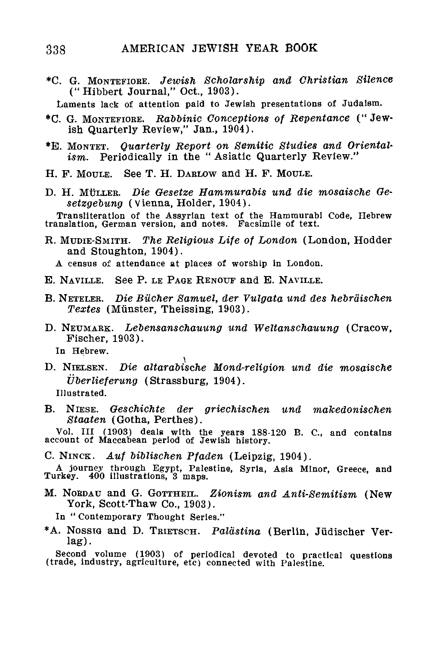\*C. G. MONTEFIOBE. *Jewish Scholarship and Christian Silence* ("Hibbert Journal," Oct., 1903).

Laments lack of attention paid to Jewish presentations of Judaism.

- \*C. G. MONTEFIORE. *Rabbinic Conceptions of Repentance* ("Jewish Quarterly Review," Jan., 1904).
- \*E. MONTET. *Quarterly Report on Semitic Studies and Orientalism.* Periodically in the " Asiatic Quarterly Review."
- H. F. MOULE. See T. H. DARLOW and H. F. MOULE.
- D. H. MUIXER. *Die Oesetze Hammurabis und die mosaische Gesetzgebung* (Vienna, Holder, 1904).

Transliteration of the Assyrian text of the Hammurabi Code, Hebrew translation, German version, and notes. Facsimile of text.

R. MDDIE-SMITH. *The Religious Life of London* (London, Hodder and Stoughton, 1904).

A census of attendance at places of worship in London.

- E. NAVILLE. See P. LE PAGE RENOUF and E. NAVILLE.
- B. NETELEB. *Die Bucher Samuel, der Vulgata und des hebrdischen Textes* (Miinster, Theissing, 1903).
- D. NEUMAEK. *Lebensanschauung und Weltanschauung* (Cracow, Fischer, 1903).

In Hebrew.

D. NIELSEN. *Die altarabische Mond-religion und die mosaische iiberlieferung* (Strassburg, 1904).

Illustrated.

B. NIESE. *Geschichte der griechischen und makedonischen Staaten* (Gotha, Perthes).

Vol. Ill (1903) deals with the years 188-120 B. C, and contains account of Maccabean period of Jewish history.

C. NINCK. *Auf biblischen Pfaden* (Leipzig, 1904).

A journey through Egypt, Palestine, Syria, Asia Minor, Greece, and Turkey. 400 illustrations, 3 maps.

M. NOEDAU and G. GOTTHEIL. *Zionism and Anti-Semitism* (New York, Scott-Thaw Co., 1903).

In " Contemporary Thought Series."

\*A. NOSSIG and D. TRIETSCH. *Paldstina* (Berlin, Jiidischer Verlag).

Second volume (1903) of periodical devoted to practical questions (trade, industry, agriculture, etc) connected with Palestine.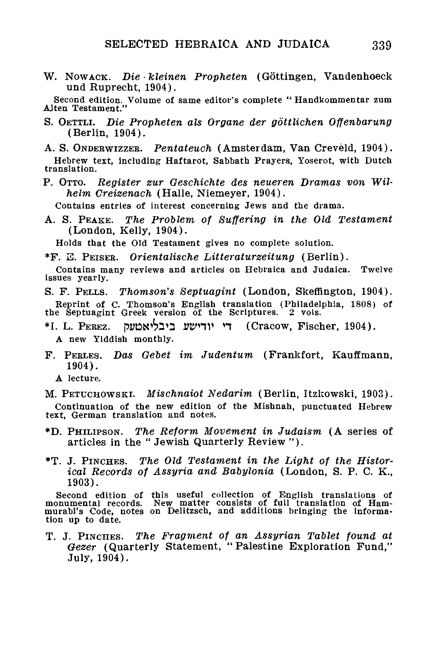W. Nowack. Die kleinen Propheten (Göttingen, Vandenhoeck und Ruprecht, 1904).

Second edition. Volume of same editor's complete " Handkommentar zum AJten Testament."

S. OETTLI. *Die Propheten als Organe der gottlichen Offenbarung* (Berlin, 1904).

A. S. ONDERWIZZER. *Pentateuch* (Amsterdam, Van Creveld, 1904). Hebrew text, including Haftarot, Sabbath Prayers, Yoserot, with Dutch translation.

P. OTTO. *Register zur Oeschichte des neueren Dramas von Wilhelm Creizenach* (Halle, Niemeyer, 1904).

Contains entries of interest concerning Jews and the drama.

A. S. PEAKE. *The Problem of Suffering in the Old Testament* (London, Kelly, 1904).

Holds that the Old Testament gives no complete solution.

\*F. H. PEISER. *Orientalische Litteraturzeitung* (Berlin).

Contains many reviews and articles on Hebraica and Judaica. Twelve issues yearly.

S. F. PELLS. *Thomson's Septuagint* (London, Skefflngton, 1904).

Reprint of C. Thomson's English translation (Philadelphia, 1808) of the Septuagint Greek version of the Scriptures. 2 vols.

- \*I. L. PEREZ. pi;tDS^3n *WnV* n (Cracow, Fischer, 1904). A new Yiddish monthly.
- F. PERLES. *Das Gebet im Judentum* (Frankfort, Kauffmann, 1904).
	- A lecture.

M. PETUCHOWSKI. *Mischnaiot Nedarim* (Berlin, Itzkowski, 1903).

Continuation of the new edition of the Mishnah, punctuated Hebrew text, German translation and notes.

- \*D. PHILIPSON. *The Reform Movement in Judaism* (A series of articles in the " Jewish Quarterly Review ").
- \*T. J. PINCHES. *The Old Testament in the Light of the Historical Records of Assyria and Babylonia* (London, S. P. C. K., 1903).

Second edition of this useful collection of English translations of monumental records. New matter consists of full translation of Ham-murabi's Code, notes on Delitzsch, and additions bringing the information up to date.

T. J. PINCHES. *The Fragment of an Assyrian Tablet found at Oezer* (Quarterly Statement, "Palestine Exploration Fund," July, 1904).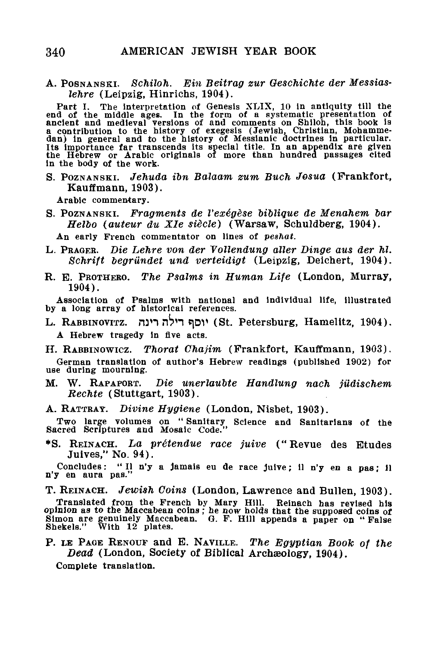A. POSNANSKI. *Schiloh. Ein Beitrag zur Geschichte der Messiaslehre* (Leipzig, Hinrichs, 1904).

Part I. The interpretation of Genesis XLIX, 10 in antiquity till the<br>end of the middle ages. In the form of a systematic presentation of<br>ancient and medleval versions of and comments on Shiloh, this book is<br>a contribution In the body of the work.

S. POZNANSKI. *Jehuda ibn Balaam zum Buch Josua* (Frankfort, Kauffmann, 1903).

Arabic commentary.

S. POZNANSKI. *Fragments de Vex6gese biolique de Menahem tar Helbo (auteur du Xle siecle)* (Warsaw, Schuldberg, 1904).

An early French commentator on lines of *peshat.*

- L. PRAGEB. *Die Lehre von der Vollendung alter Dinge aus der hi. Schrift begrundet und verteidigt* (Leipzig, Deichert, 1904).
- R. E. PEOTHEBO. *The Psalms in Human Life* (London, Murray, 1904).

Association of Psalms with national and Individual life, illustrated by a long array of historical references.

- L. RABBINOVITZ. run n"?H t)DV (St. Petersburg, Hamelitz, 1904). A Hebrew tragedy in five acts.
- H. RABBINOWICZ. *Thorat Chajim* (Frankfort, Kauffmann, 1903).

German translation of author's Hebrew readings (published 1902) for use during mourning.

- M. W. RAPAPOBT. *Die unerlaubte Handlung nach jildischem Rechte* (Stuttgart, 1903).
- A. RATTRAY. *Divine Hygiene* (London, Nisbet, 1903).

Two large volumes on " Sanitary Science and Sanitarians of the Sacred Scriptures and Mosaic Code."

\*S. REINACH. *La pr6tendue race juive* ("Revue des Etudes Juives," No. 94).

Concludes: " II n'y a jamais eu de race julve; 11 n'y en a pas; 11 n'y en aura pas."

T. REINACH. *Jewish Coins* (London, Lawrence and Bullen, 1903).

Translated from the French by Mary Hill. Reinach has revised his opinion as to the Maccabean coins; he now holds that the supposed coins of Simon are genuinely Maccabean. G. F. Hill appends a paper on "False Shekels." With

P. LE PAGE RENOUF and E. NAVILLE. *The Egyptian Book of the Dead* (London, Society of Biblical Archaeology, 1904).

Complete translation.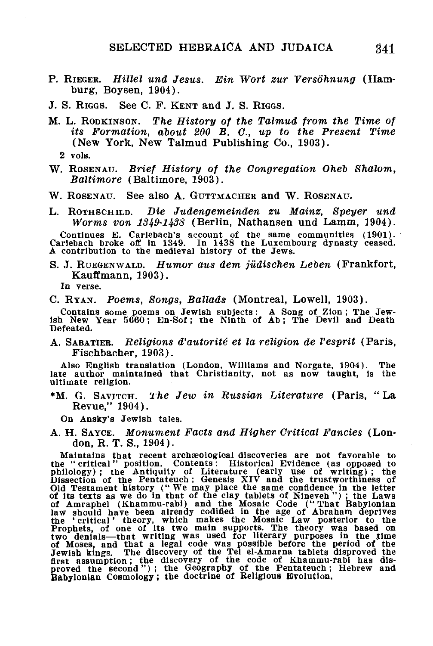- P. RIEGER. *Hillel und Jesus. Ein Wort zur Yersb'hnung* (Hamburg, Boysen, 1904).
- J. S. RIGGS. See C. F. KENT and J. S. RIGGS.
- M. L. RODKINSON. *The History of the Talmud from, the Time of its Formation, about 200 B. C, up to the Present Time* (New York, New Talmud Publishing Co., 1903).
	- 2 vols.
- W. ROSENAU. *Brief History of the Congregation Oheb Shalom, Baltimore* (Baltimore, 1903).
- W. ROSENAU. See also A. GUTTMACHER and W. ROSENAU.
- L. ROTHSCHILD. *Die Judengemeinden zu Mainz, Speyer und Worms von 1349-1438* (Berlin, Nathansen und Lamm, 1904).

Continues E. Carlebach's account of the same communities (1901). Carlebach broke off in 1349. In 1438 the Luxembourg dynasty ceased. A contribution to the medieval history of the Jews.

S. J. RUEGENWALD. *Humor aus dem jiidischen Leben* (Frankfort, Kauffmann, 1903).

In verse.

C. RYAN. *Poems, Songs, Ballads* (Montreal, Lowell, 1903).

Contains some poems on Jewish subjects: A Song of Zion ; The Jew-ish New Year 5660; En-Sof; the Ninth of Ab; The Devil and Death Defeated.

A. SABATIEE. *Religions d'autorite' et la religion de Vesprit* (Paris, Fischbacher, 1903).

Also English translation (London, Williams and Norgate, 1904). The late author maintained that Christianity, not as now taught, is the ultimate religion.

\*M. G. SAVITCH. *The Jew in Russian Literature* (Paris, "La Revue," 1904).

On Ansky's Jewish tales.

A. H. SAYCE. *Monument Facts and Higher Critical Fancies* (London, R. T. S., 1904).

Maintains that recent archaeological discoveries are not favorable to<br>the "critical" position. Contents: Historical Evidence (as opposed to<br>philology); the Antiquity of Literature (early use of writing); the<br>Dissection of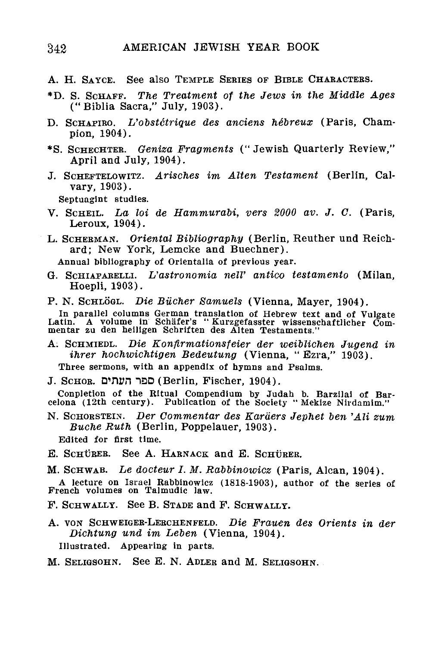- A. H. SAYCE. See also TEMPLE SERIES OF BIBLE CHARACTERS.
- \*D. S. SCHAFF. *The Treatment of the Jews in the Middle Ages* ("Biblia Sacra," July, 1903).
- D. SCHAFIKO. *L'obstctrique des anciens hebreux* (Paris, Champion, 1904).
- \*S. SCHECHTER. *Geniza Fragments* ("Jewish Quarterly Review," April and July, 1904).
- J. SCHEFTELOWITZ. *Arisches im Alten Testament* (Berlin, Calvary, 1903).

Septuagint studies.

- V. SCHEIL. *La loi de Hammurabi, vers 2000 av. J. C.* (Paris, Leroux, 1904).
- L. SCHERMAN. *Oriental Bibliography* (Berlin, Reuther und Reichard; New York, Lemcke and Buechner).

Annual bibliography of Orientalia of previous year.

- G. SCHIAPARELLI. *L'astronomia nelV antioo testamento* (Milan, Hoepli, 1903).
- P. N. SCHLOGL. *Die Bucher Samuels* (Vienna, Mayer, 1904).

In parallel columns German translation of Hebrew text and of Vulgate Latin. A volume in Schafer's " Kurzgefasster wissenschaftlieher Com-mentar zu den heiligen Schriften des Alten Testaments."

A. SCHMIEDL. *Die Konfirmationsfeier der weiblichen Jugend in ihrer hochwichtigen Bedeutung* (Vienna, "Ezra," 1903).

Three sermons, with an appendix of hymns and Psalms.

J. SCHOR. *WTXUn* 13D (Berlin, Fischer, 1904).

Conpletion of the Ritual Compendium by Judah b. Barzilai of Barcelona (12th century). Publication of the Society " Mekize Nirdamim."

N. SCHORSTEIN. *Der Commentar des Kariiers Jephet ben 'Ali zum Buche Ruth* (Berlin, Poppelauer, 1903).

Edited for first time.

- E. SCHURER. See A. HARNACK and E. SCHURER.
- M. SCHWAB, *he docteur I. M. Rabbinowicz* (Paris, Alcan, 1904).

A lecture on Israel Rabbinowicz (1818-1903), author of the series of French volumes on Talmudic law.

- F. SCHWALLY. See B. STADE and F. SCHWALLY.
- A. VON SCHWEIGER-LERCHENFELD. *Die Frauen des Orients in der Dichtung und im Leben* (Vienna, 1904). Illustrated. Appearing in parts.
- M. SELIGSOHN. See E. N. ADLER and M. SELIGSOHN.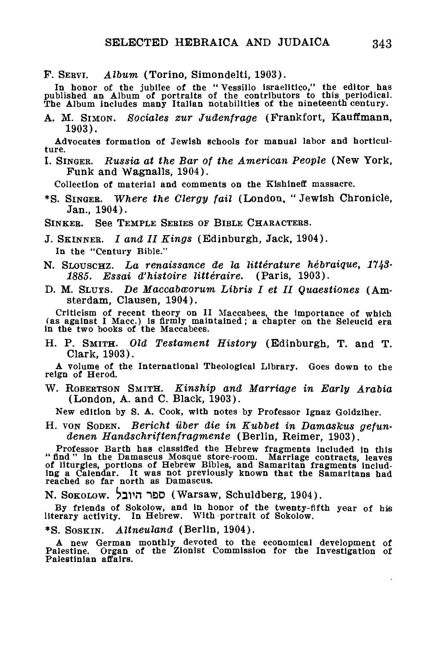F. SEBVI. *Album,* (Torino, Simondelti, 1903).

In honor of the jubilee of the " Vessillo israelitico," the editor has<br>published an Album of portraits of the contributors to this periodical.<br>The Album includes many Italian notabilities of the nineteenth century.

A. M. SIMON. *Sociales zur Judenfrage* (Frankfort, Kauffmann, 1903).

Advocates formation of Jewish schools for manual labor and horticulture.

I. SINGER. *Russia at the Bar of the American People* (New York, Funk and Wagnalls, 1904).

Collection of material and comments on the Klshlneff massacre.

\*S. SINGER. *Where the Clergy fail* (London. " Jewish Chronicle, Jan., 1904).

SINKER. See TEMPLE SERIES OF BIBLE CHARACTERS.

J. SKINNEE. *I and II Kings* (Edinburgh, Jack, 1904). In the "Century Bible."

- N. SLOUSCHZ. *La renaissance de la litterature hebraique, 1743-* 1885. Essai d'histoire littéraire. (Paris, 1903).
- D. M. SLUTS. *De Maccabworum Libris I et II Quaestiones* (Amsterdam, Clausen, 1904).

Criticism of recent theory on II Maccabees, the importance of which (as against I Mace.) is firmly maintained; a chapter on the Seleucld era in the two books of the Maccabees.

H. P. SMITH. *Old Testament History* (Edinburgh, T. and T. Clark, 1903).

A volume of the International Theological Library. Goes down to the reign of Herod.

W. ROBEETSON SMITH. *Kinship and Marriage in Early Arabia* (London, A. and C. Black, 1903).

New edition by S. A. Cook, with notes by Professor Ignaz Goldziher.

H. VON SODEN. *Bericht uber die in Kubbet in Damaskus gefundenen Handschriftenfragmente* (Berlin, Reimer, 1903).

Professor Barth has classified the Hebrew fragments included in this "find" in the Damascus Mosque store-room. Marriage contracts, leaves if liturgies, portions of Hebrew Bibles, and Samaritan fragments including a Calenda

N. SOKOLOW. ^31VI 1QD (Warsaw, Schuldberg, 1904).

By friends of Sokolow, and in honor of the twenty-fifth year of his literary activity. In Hebrew. With portrait of Sokolow.

\*S. SOSKIN. *Altneuland* (Berlin, 1904).

A new German monthly devoted to the economical development of Palestine. Organ of the Zionist Commission for the Investigation of Palestinian affairs.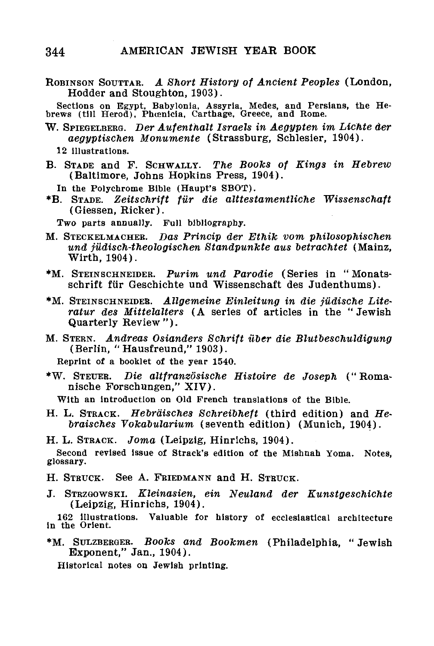ROBINSON SOUTTAR. A Short History of Ancient Peoples (London, Hodder and Stoughton, 1903).

Sections on Egypt, Babylonia, Assyria, Medes, and Persians, the He-brews (till Herod), Phoenicia, Carthage, Greece, and Rome.

- W. SPIEGELBEEG. *Der Aufenthalt Israels in Aegypten im Lichte der aegyptischen Monumente* (Strassburg, Schlesier, 1904).
	- 12 illustrations.
- B. STADE and F. SCHWALLY. *The Books of Kings in Hebrew* (Baltimore, Johns Hopkins Press, 1904).
- In the Polychrome Bible (Haupt's SBOT).
- \*B. STADE. *Zeitschrift fur die alttestamentliche Wissenschaft* (Giessen, Ricker).

Two parts annually. Full bibliography.

- M. STECKELMACHEB. *Das Princip der Ethik vom philosophischen und jiidisch-theologischen Btandpunkte aus betrachtet* (Mainz, Wirth, 1904).
- \*M. STEIN SCHNEIDER. *Purim und Parodie* (Series in " Monatsschrift fur Geschichte und Wissenschaft des Judenthums).
- \*M. STEINSCHNEIDEB. *Allgemeine Einleitung in die judische Literatur des Mittelalters* (A series of articles in the " Jewish Quarterly Review").
- M. STERN. *Andreas Osianders Schrift ilber die Blutbeschuldigung* (Berlin, " Hausfreund," 1903).

Reprint of a booklet of the year 1540.

•W. STEUEB. *Die altfranzosische Histoire de Joseph* (" Romanische Forschungen," XIV).

With an introduction on Old French translations of the Bible.

H. L. STRACK. *Hebrdisches Schreibheft* (third edition) and *Hebraisches Yokabularium* (seventh edition) (Munich, 1904).

H. L. STRACK. *Joma* (Leipzig, Hinrichs, 1904).

Second revised issue of Strack's edition of the Mishnah Yoma. Notes, glossary.

- H. STRUCK. See A. FRIEDMANN and H. STRUCK.
- J. STRZGOWSKI. *Kleinasien, ein Neuland der Eunstgeschichte* (Leipzig, Hinrichs, 1904).

162 illustrations. Valuable for history of ecclesiastical architecture In the Orient.

\*M. SULZBERGER. *Books and Bookmen* (Philadelphia, " Jewish Exponent," Jan., 1904).

Historical notes on Jewish printing.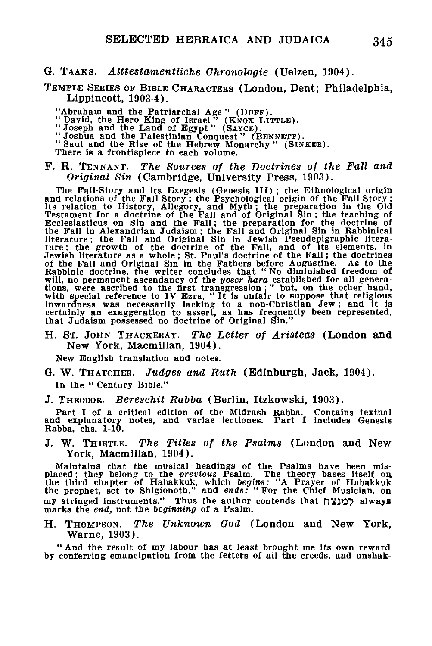G. TAAKS. *Alttestamentliche Chronologie* (Uelzen, 1904).

TEMPLE SERIES OF BIBLE CHARACTERS (London, Dent; Philadelphia, Lippincott, 1903-4).

"Abraham and the Patriarchal Age" (DUFF).<br>"David, the Hero King of Israel" (KNOX LITTLE).<br>"Joseph and the Land of Egypt" (SAYCB).<br>"Joshua and the Palestinian Conquest" (BENNETT).

- 
- 

"Saul and the Rise of the Hebrew Monarchy" (SINKER).

There is a frontispiece to each volume.

#### F. R. TENNANT. *The Sources of the Doctrines of the Fall and Original Sin* (Cambridge, University Press, 1903).

The Fall-Story and its Exegesis (Genesis III); the Ethnological origin<br>and relations of the Fall-Story; the Psychological origin of the Fall-Story;<br>its relation to History, Allegory, and Myth; the preparation in the Old<br>Te

H. ST. JOHN THACKERAY. *The Letter of Aristeas* (London and New York, Macmillan, 1904).

New English translation and notes.

- G. W. THATCHER. *Judges and Ruth* (Edinburgh, Jack, 1904). In the " Century Bible."
- J. THEODOR. *Bereschit Rabba* (Berlin, Itzkowski, 1903).

Part I of a critical edition of the Mldrash Rabba. Contains textual and explanatory notes, and variae lectiones. Part I includes Genesis Rabba, chs. 1-10.

J. "W. THIRTLE. *The Titles of the Psalms* (London and New York, Macmillan, 1904).

Maintains that the musical headings of the Psalms have been mis-<br>placed; they belong to the *previous* Psalm. The theory bases itself on<br>the third chapter of Habakkuk, which *begins*: "A Prayer of Habakkuk<br>the prophet, set my stringed instruments." Thus the author contends that  $\pi$ ys always marks the *end,* not the *beginning* of a Psalm.

H. THOMPSON. *The Unknown God* (London and New York, Warne, 1903).

" And the result of my labour has at least brought me its own reward by conferring emancipation from the fetters of all the creeds, and unsbak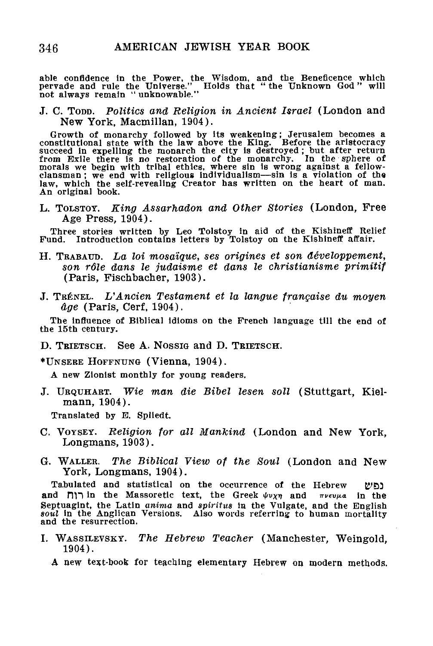able confidence In the Power, the Wisdom, and the Beneficence which pervade and rule the Universe." Holds that " the Unknown God " will not always remain " unknowable."

J. C. TODD. *Politics and Religion in Ancient Israel* (London and New York, Macmillan, 1904).

Growth of monarchy followed by its weakening; Jerusalem becomes a<br>constitutional state with the law above the King. Before the aristocracy<br>succeed in expelling the monarch the city is destroyed; but after return<br>from Exile An original book.

L. TOLSTOY. *King Assarhadon and Other Stories* (London, Free Age Press, 1904).

Three stories written by Leo Tolstoy in aid of the Kishineff Relief Fund. Introduction contains letters by Tolstoy on the Kishineff affair.

- H. TBABAUD. *La loi mosaique, ses origines et son developpement, son rdle dans le judaisme et dans le christianisme primitif* (Paris, Fischbacher, 1903).
- J. TBENEL. *L'Ancien Testament et la langue francaise du moyen Age* (Paris, Cerf, 1904).

The influence of Biblical idioms on the French language till the end of the 15th century.

D. TRIETSCH. See A. Nossig and D. TRIETSCH.

•UNSEBE HOFFNUNG (Vienna, 1904).

A new Zionist monthly for young readers.

J. URQUHABT. *Wie man die Bibel lesen soil* (Stuttgart, Kielmann, 1904).

Translated by E. Spliedt.

- C. VOYSET. *Religion for all Mankind* (London and New York, Longmans, 1903).
- G. WALLEB. *The Biblical View of the Soul* (London and New York, Longmans, 1904).

Tabulated and statistical on the occurrence of the Hebrew נפש and  $\prod$  in the Massoretic text, the Greek  $\psi v \chi \eta$  and  $\pi \nu \epsilon v \mu a$  in the Septuagint, the Latin *anima* and *spiritus* in the Vulgate, and the English *soul* in the Anglican Versions. Also words referring to human mortality and the resurrection.

- I. WASSILEVSKY. The Hebrew Teacher (Manchester, Weingold, 1904).
	- A new text-book for teaching elementary Hebrew on modern methods.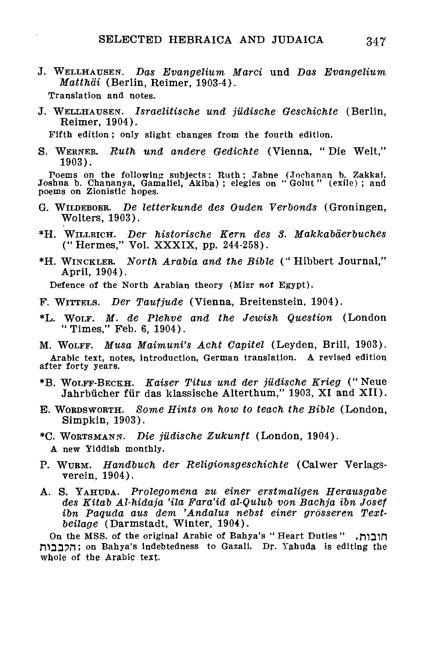J. WELLHAUSEN. *Das Evangelium Marci* und *Das Evangelium Matthdi* (Berlin, Reimer, 1903-4).

Translation and notes.

J. WELLHAUSEN. *Israelitische und judische Geschichte* (Berlin, Reimer, 1904).

Fifth edition; only slight changes from the fourth edition.

S. WERNER. *Ruth und andere Gedichte* (Vienna, " Die Welt," 1903).

Poems on the following subjects: Ruth; Jabne (Jochanan b. Zakkai, Joshua b. Chananya, Gamaliel, Akiba) ; elegies on " Golut" (exile) ; and poems on Zionistic hopes.

- G. WILDEBOBB. *De letterkunde des Ouden Verbonds* (Groningen, Wolters, 1903).
- \*H. WILLRICH. *Der historische Kern des 3. Makkabderbuches* ("Hermes," Vol. XXXIX, pp. 244-258).
- \*H. WINCKLER. *North Arabia and the Bible* (" Hibbert Journal," April, 1904).

Defence of the North Arabian theory (Mizr *not* Egypt).

- F. WITTELS. *Der Taufjude* (Vienna, Breitenstein, 1904).
- \*L. WOLF. *M. de Plehve and the Jewish Question* (London "Times," Feb. 6, 1904).

M. WOLFF. Musa Maimuni's Acht Capitel (Leyden, Brill, 1903). Arabic text, notes, introduction, German translation. A revised edition after forty years.

- \*B. WOLFF-BECKH. *Kaiser Titus und der judische Krieg* (" Neue Jahrbücher für das klassische Alterthum," 1903, XI and XII).
- E. WORDSWORTH. *Some Hints on how to teach the Bible* (London, Simpkin, 1903).
- \*C. WORTSMANN. *Die judische Zukunft* (London, 1904). A new Yiddish monthly.
- P. WURM. *Handbuch der Religionsgeschichte* (Calwer Verlagsverein, 1904).
- A. S. YAHUDA. *Prolegomena zu einer erstmaligen Herausgabe des Kitab Al-hidaja 'ila Fara'id al-Qulub von Bachja ibn Josef ion Paquda aus dem 'Andalus nebst einer grosseren Textbeilage* (Darmstadt, Winter, 1904).

On the MSS. of the original Arabic of Bahya's "Heart Duties" ,חובות rO3D?n; on Bahya's indebtedness to Gazali. Dr. Yahuda is editing the whole of the Arabic text.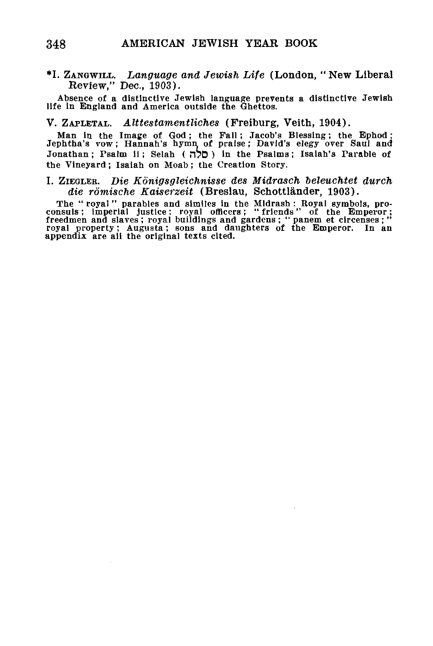\*I. ZANGWILL. *Language and Jewish Life* (London, "New Liberal Review," Dec, 1903).

Absence of a distinctive Jewish language prevents a distinctive Jewish life in England and America outside the Ghettos.

### V. ZAPLETAL. *Alttestamentliches* (Freiburg, Veith, 1904).

Man in the Image of God ; the Pall; Jacob's Blessing; the Ephod; Jephtha's vow ; Hannah's hymn of praise; David's elegy over Saul and Jonathan ; Psalm ii ; Selah ( n?D ) in the Psalms ; Isaiah's Parable of the Vineyard ; Isaiah on Moab; the Creation Story.

#### I. ZIEGLEB. *Die Eonigsgleichnisse des Midrasch beleuchtet durch die romische Kaiserzeit* (Breslau, Schottlander, 1903).

The "royal" parables and similes in the Midrash: Royal symbols, proconsuls; imperial justice; royal officers; "friends" of the Emperor; freedmen and slaves; royal buildings and gardens; "panem et circenses;" royal property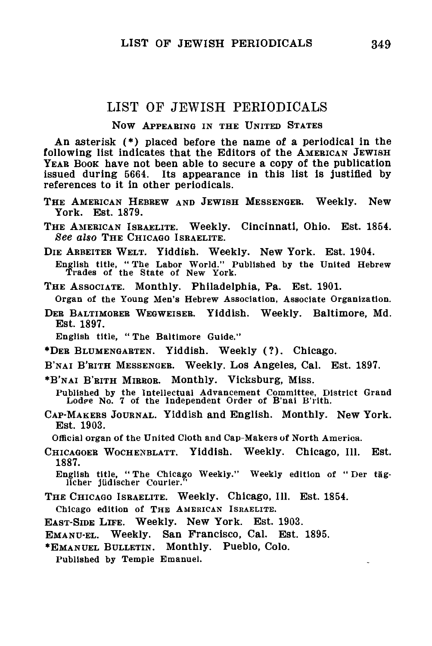# LIST OF JEWISH PEEIODICALS

## **Now APPEARING IN THE UNITED STATES**

**An asterisk (•) placed before the name of a periodical in the following list indicates that the Editors of the AMERICAN JEWISH YEAR BOOK have not been able to secure a copy of the publication issued during 5664. Its appearance in this list is justified by references to it in other periodicals.**

- **T HE AMERICAN HEBREW AND JEWISH MESSENGER. Weekly. New York. Est. 1879.**
- **T HE AMERICAN ISRAELITE. Weekly. Cincinnati, Ohio. Est. 1854.** *See also* **THE CHICAGO ISRAELITE.**

**DIE ARBEITER WELT. Yiddish. Weekly. New York. Est. 1904. English title, " The Labor World." Published by the United Hebrew Trades of the State of New York.**

**THE ASSOCIATE. Monthly. Philadelphia, Pa. Est. 1901.**

**Organ of the Young Men's Hebrew Association, Associate Organization.**

**DER BALTIMORER WEGWEISER. Yiddish. Weekly. Baltimore, Md. Est. 1897.**

**English title, "The Baltimore Guide."**

- **•DER BLUMENGARTEN. Yiddish. Weekly (?). Chicago.**
- **B'NAI B'RITH MESSENGER. Weekly. Los Angeles, Cal. Est. 1897.**
- **\*B'NAI B'RITH MIRROR. Monthly. Vicksburg, Miss.**

Published by the Intellectual Advancement Committee, District Grand<br>Lod*e*e No. 7 of the Independent Order of B'nai B'rith.

**CAP-MAKERS JOURNAL. Yiddish and English. Monthly. New York. Est. 1903.**

**Official organ of the United Cloth and Cap-Makers of North America.**

**CHICAGOER WOCHENBLATT. Yiddish. Weekly. Chicago, 111. Est. 1887.**

**English title, " The Chicago Weekly." Weekly edition of " Der tag-llcher jiidischer Courier."**

THE CHICAGO ISRAELITE. Weekly. Chicago, Ill. Est. 1854. **Chicago edition of THE AMERICAN ISRAELITE.**

EAST-SIDE LITE. Weekly. New York. Est. 1903.

EMANU-EL. Weekly. San Francisco, Cal. Est. 1895.

•EMANUEL BULLETIN. Monthly. Pueblo, Colo.

Published by Temple Emanuel.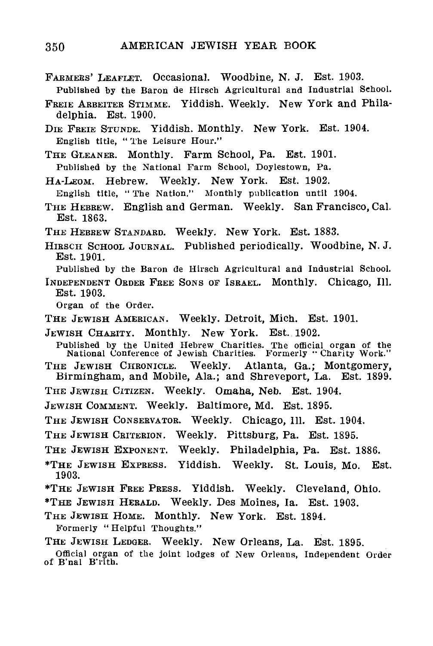- FARMERS' LEAFLET. Occasional. Woodbine, N. J. Est. 1903. Published by the Baron de Hirseh Agricultural and Industrial School.
- FREIE ARBEITER STIMME. Yiddish. Weekly. New York and Philadelphia. Est. 1900.
- DIE FREIE STUNDE. Yiddish. Monthly. New York. Est. 1904. English title, " The Leisure Hour."
- THE GLEANER. Monthly. Farm School, Pa. Est. 1901. Published by the National Farm School, Doylestown, Pa.
- HA-LEOM. Hebrew. Weekly. New York. Est. 1902.
- English title, " The Nation." Monthly publication until 1004.
- THE HEBREW. English and German. Weekly. San Francisco, Cal. Est. 1863.
- THE HEBREW STANDARD. Weekly. New York. Est. 1883.
- HIRSCH SCHOOL JOURNAL. Published periodically. Woodbine, N. J. Est. 1901.
- Published by the Baron de Hirsch Agricultural and Industrial School.
- INDEPENDENT OBDEB FEEE SONS OF ISBAEL. Monthly. Chicago, 111. Est. 1903.

Organ of the Order.

- THE JEWISH AMERICAN. Weekly. Detroit, Mich. Est. 1901.
- JEWISH CHARITY. Monthly. New York. Est. 1902.
- Published by the United Hebrew Charities. The official organ of the National Conference of Jewish Charities. Formerly '" Charity Work."
- THE JEWISH CHRONICLE. Weekly. Atlanta, Ga.; Montgomery, Birmingham, and Mobile, Ala.; and Shreveport, La. Est. 1899.
- THE JEWISH CITIZEN. Weekly. Omaha, Neb. Est. 1904.
- JEWISH COMMENT. Weekly. Baltimore, Md. Est. 1895.
- THE JEWISH CONSERVATOR. Weekly. Chicago, Ill. Est. 1904.
- THE JEWISH CRITERION. Weekly. Pittsburg, Pa. Est. 1895.
- THE JEWISH EXPONENT. Weekly. Philadelphia, Pa. Est. 1886.
- \*THE JEWISH EXPEESS. Yiddish. Weekly. St. Louis, Mo. Est. 1903.
- \*THE JEWISH FBEE PBESS. Yiddish. Weekly. Cleveland, Ohio.
- \*THE JEWISH HEBALD. Weekly. Des Moines, la. Est. 1903.
- THE JEWISH HOME. Monthly. New York. Est. 1894.
- 
- Formerly "Helpful Thoughts."<br>THE JEWISH LEDGER. Weekly. New Orleans, La. Est. 1895.
- THE JEWISH LEDGEB. Weekly. New Orleans, La. Est. 1895. Official organ of the joint lodges of New Orleans, Independent Order of B'nal B'rith.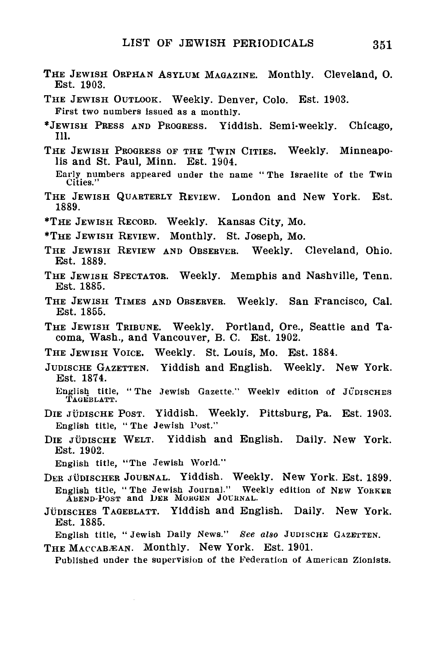- THE JEWISH ORPHAN ASYLUM MAGAZINE. Monthly. Cleveland, O. Est. 1903.
- THE JEWISH OUTLOOK. Weekly. Denver, Colo. Est. 1903. First two numbers issued as a monthly.
- "JEWISH PRESS AND PROGRESS. Yiddish. Semi-weekly. Chicago, 111.
- THE JEWISH PROGRESS OF THE TWIN CITIES. Weekly. Minneapolis and St. Paul, Minn. Est. 1904.

- THE JEWISH QUARTERLY REVIEW. London and New York. Est. 1889.
- \*THE JEWISH RECORD. Weekly. Kansas City, Mo.
- •THE JEWISH REVIEW. Monthly. St. Joseph, Mo.
- THE JEWISH REVIEW AND OBSERVER. Weekly. Cleveland, Ohio. Est. 1889.
- THE JEWISH SPECTATOR. Weekly. Memphis and Nashville, Tenn. Est. 1885.
- THE JEWISH TIMES AND OBSERVER. Weekly. San Francisco, Cal. Est. 1855.
- THE JEWISH TRIBUNE. Weekly. Portland, Ore., Seattle and Tacoma, Wash., and Vancouver, B. C. Est. 1902.
- THE JEWISH VOICE. Weekly. St. Louis, Mo. Est. 1884.
- JUDISCHE GAZETTEN. Yiddish and English. Weekly. New York. Est. 1874.

- DIE JÜDISCHE POST. Yiddish. Weekly. Pittsburg, Pa. Est. 1903. English title, "The Jewish Post."
- DIE JÜDISCHE WELT. Yiddish and English. Daily. New York. Est. 1902.

JÜDISCHES TAGEBLATT. Yiddish and English. Daily. New York. Est. 1885.

English title, " Jewish Daily News." *See also* JUDISCHE GAZETTEN.

THE MACCAB.EAN. Monthly. New York. Est. 1901.

Published under the supervision of the Federation of American Zionists.

Early numbers appeared under the name " The Israelite of the Twin Cities."

English title, " The Jewish Gazette." Weekly edition of JUDISCHES TAGEBLATT.

English title, "The Jewish World."<br>DER JÜDISCHER JOURNAL. Yiddish. Weekly. New York. Est. 1899. DER JUDISCHER JOURNAL. Yiddish. Weekly. New York. Est. 1899. English title, " The Jewish Journal." Weekly edition of NEW YORKEE ABEND-POST and UEK MORGEN JOURNAL.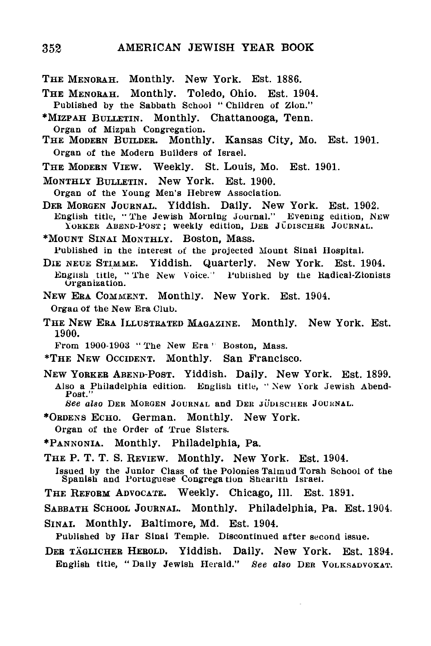- THE MENOBAH. Monthly. New York. Est. 1886.
- THE MENOEAH. Monthly. Toledo, Ohio. Est. 1904.
- Published by the Sabbath School " Children of Zion."
- •MIZPAH BULLETIN. Monthly. Chattanooga, Tenn. Organ of Mizpah Congregation.
- THE MODERN BUILDER. Monthly. Kansas City, Mo. Est. 1901. Organ of the Modern Builders of Israel.
- THE MODERN VIEW. Weekly. St. Louis, Mo. Est. 1901.
- MONTHLY BULLETIN. New York. Est. 1900.
- 
- DER MORGEN JOURNAL. Yiddish. Daily. New York. Est. 1902. English title, "The Jewish Morning Journal." Evening edition, New English title, "The Jewish Morning Journal." Evening edition, NEW<br>"Yorker Abend-Post; weekly edition, DEB JÜDISCHER JOURNAL.<br>"
- \*MOUNT SINAI MONTHLY. Boston, Mass.

Published in the interest of the projected Mount Sinai Hospital.

- DIE NEUE STIMME. YIddish. Quarterly. New York. Est. 1904.<br>English title, "The New Voice." Published by the Radical-Zionists Organization.
- NEW ERA COMMENT. Monthly. New York. Est. 1904. Organ of the New Era Club.
- THE NEW ERA ILLUSTRATED MAGAZINE. Monthly. New York. Est. 1900.
	- From 1900-1903 " The New Era ' Boston, Mass.
- 
- \*THE NEW OCCIDENT. Monthly. San Francisco.<br>New Yorker Abend-Post. Yiddish. Daily. New York. Est. 1899. NEW YORKER ABEND-POST. Yiddish. Daily. New York. Est. 1899. Also a Philadelphia edition. English title, " New York Jewish Abend-Post."
	- *See also* DER MORGEN JOURNAL and DER JUDISCHER JOURNAL.
- •ORDENS ECHO. German. Monthly. New York. Organ of the Order of True Sisters.
- 
- •PANNONIA. Monthly. Philadelphia, Pa.
- THE P. T. T. S. REVIEW. Monthly. New York. Est. 1904.

Issued by the Junior Class of the Polonies Talmud Torah School of the Spanish and Portuguese Congregation Shearith Israel.

- THE REFORM ADVOCATE. Weekly. Chicago, 111. Est. 1891.
- SABBATH SCHOOL JOURNAL. Monthly. Philadelphia, Pa. Est. 1904.
- SINAI. Monthly. Baltimore, Md. Est. 1904.
- Published by Har Sinai Temple. Discontinued after second issue.
- DEE TAGLICHER HEEOLD. Yiddish. Daily. New York. Est. 1894. English title, " Dally Jewish Herald." See *also* DEH VOLKSADVOKAT.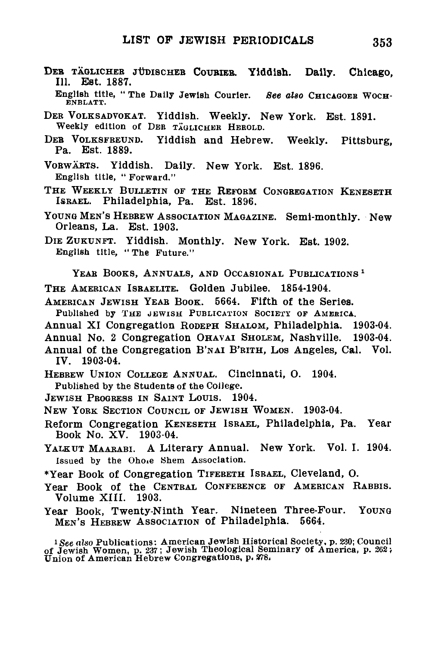DEB TAGLICHEB JUDISCHEB COUBIEB. Yiddish. **Daily.** Chicago, III. Est. 1887.

English title, "The Daily Jewish Courier. See also CHICAGOER WOCH-ENBLATT.

DER VOLKSADVOKAT. Yiddish. Weekly. New York. Est. 1891. Weekly edition of DER TAGLICHER HEROLD.<br>DER VOLKSFREUND. Yiddish and Hebrey

Yiddish and Hebrew. Weekly. Pittsburg, Pa. Est. 1889.

VOBWABTS. Yiddish. Daily. New York. Est. 1896. English title, " Forward."

THE WEEKLY BULLETIN OF THE REFORM CONGREGATION KENESETH ISBAEL. Philadelphia, Pa. Est. 1896.

YOUNG MEN'S HEBBEW ASSOCIATION MAGAZINE. Semi-monthly. New Orleans, La. Est. 1903.

DIE ZUKUNFT. Yiddish. Monthly. New York. Est. 1902. English title, "The Future."

YEAB BOOKS, ANNUALS, AND OCCASIONAL PUBLICATIONS  *1*

THE AMEBICAN ISBAELITE. Golden Jubilee. 1854-1904.

AMERICAN JEWISH YEAR BOOK. 5664. Fifth of the Series.

Published by THE JEWISH PUBLICATION SOCIETY OF AMERICA.

Annual XI Congregation RODEPH SHALOM, Philadelphia. 1903-04.

Annual No. 2 Congregation OHAVAI SHOLEM, Nashville. 1903-04.

Annual of the Congregation B'NAI B'BITH, LOS Angeles, Cal, Vol. IV. 1903-04.

HEBEEW UNION COLLEGE ANNUAL. Cincinnati, O. 1904.

Published by the Students of the College.

JEWISH PROGRESS IN SAINT LOUIS. 1904.

NEW YOBK SECTION COUNCIL OF JEWISH WOMEN. 1903-04.

Reform Congregation KENESETH ISBAEL, Philadelphia, Pa. Year Book No. XV. 1903-04.

YALKUT MAARABI. A Literary Annual. New York. Vol. I. 1904. Issued by the Ohoie Shem Association.

•Year Book of Congregation TIFEBETH ISBAEL, Cleveland, O.

Year Book of the CENTRAL CONFERENCE OF AMERICAN RABBIS. Volume XIII. 1903.

Year Book, Twenty-Ninth Year. Nineteen Three-Four. Young MEN'S HEBREW ASSOCIATION of Philadelphia. 5664.

!See *also* Publications: American Jewish Historical Society, p. 230; Council of Jewish Women, p. 237; Jewish Theological Seminary of America, p. 262; Union of American Hebrew Congregations, p. S78.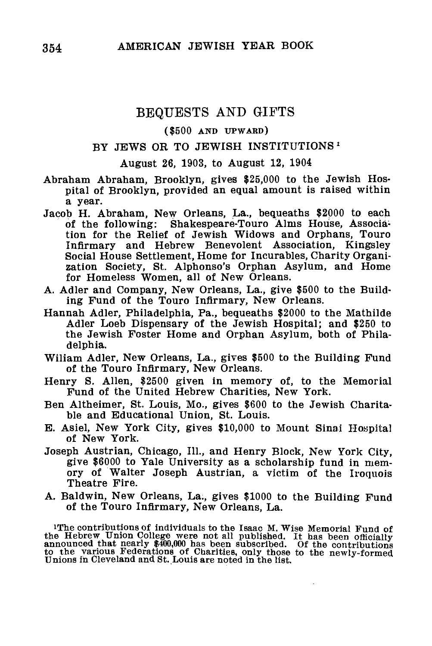# BEQUESTS AND GIFTS

#### (\$500 AND UPWAKD)

## BY JEWS OR TO JEWISH INSTITUTIONS<sup>1</sup>

### August 26, 1903, to August 12, 1904

Abraham Abraham, Brooklyn, gives \$25,000 to the Jewish Hospital of Brooklyn, provided an equal amount is raised within a year.

- Jacob H. Abraham, New Orleans, La., bequeaths \$2000 to each of the following: Shakespeare-Touro Alms House, Association for the Relief of Jewish Widows and Orphans, Touro Infirmary and Hebrew Benevolent Association, Kingsley Social House Settlement, Home for Incurables, Charity Organization Society, St. Alphonso's Orphan Asylum, and Home for Homeless Women, all of New Orleans.
- A. Adler and Company, New Orleans, La., give \$500 to the Building Fund of the Touro Infirmary, New Orleans.
- Hannah Adler, Philadelphia, Pa., bequeaths \$2000 to the Mathilde Adler Loeb Dispensary of the Jewish Hospital; and \$250 to the Jewish Foster Home and Orphan Asylum, both of Philadelphia.
- Wiliam Adler, New Orleans, La., gives \$500 to the Building Fund of the Touro Infirmary, New Orleans.
- Henry S. Allen, \$2500 given in memory of, to the Memorial Fund of the United Hebrew Charities, New York.
- Ben Altheimer, St. Louis, Mo., gives \$600 to the Jewish Charitable and Educational Union, St. Louis.
- E. Asiel, New York City, gives \$10,000 to Mount Sinai Hospital of New York.
- Joseph Austrian, Chicago, 111., and Henry Block, New York City, give \$6000 to Yale University as a scholarship fund in memory of Walter Joseph Austrian, a victim of the Iroquois Theatre Fire.
- A. Baldwin, New Orleans, La., gives \$1000 to the Building Fund of the Touro Infirmary, New Orleans, La.

<sup>1</sup>The contributions of individuals to the Isaac M. Wise Memorial Fund of the Hebrew Union College were not all published. It has been officially announced that nearly  $\frac{$400,000}{1}$  has been  $\frac{1}{100}$  has been indepen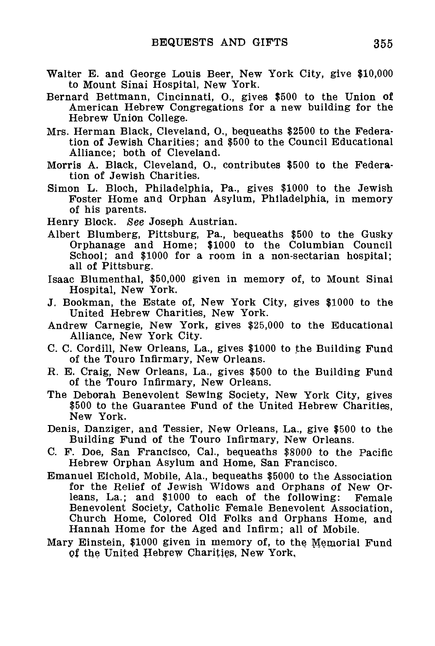- **Walter E.** and George Louis Beer, New York City, give \$10,000 to Mount Sinai Hospital, New York.
- Bernard Bettmann, Cincinnati, O., gives \$500 to the Union of American Hebrew Congregations for a new building for the Hebrew Union College.
- Mrs. Herman Black, Cleveland, O., bequeaths \$2500 to the Federation of Jewish Charities; and \$500 to the Council Educational Alliance; both of Cleveland.
- Morris A. Black, Cleveland, O., contributes \$500 to the Federation of Jewish Charities.
- Simon L. Bloch, Philadelphia, Pa., gives \$1000 to the Jewish Foster Home and Orphan Asylum, Philadelphia, in memory of his parents.
- Henry Block. See Joseph Austrian.
- Albert Blumberg, Pittsburg, Pa., bequeaths \$500 to the Gusky Orphanage and Home; \$1000 to the Columbian Council School; and \$1000 for a room in a non-sectarian hospital; all of Pittsburg.
- Isaac Blumenthal, \$50,000 given in memory of, to Mount Sinai Hospital, New York.
- J. Bookman, the Estate of, New York City, gives \$1000 to the United Hebrew Charities, New York.
- Andrew Carnegie, New York, gives \$25,000 to the Educational Alliance, New York City.
- C. C. Cordill, New Orleans, La., gives \$1000 to the Building Fund of the Touro Infirmary, New Orleans.
- R. E. Craig, New Orleans, La., gives \$500 to the Building Fund of the Touro Infirmary, New Orleans.
- The Deborah Benevolent Sewing Society, New York City, gives \$500 to the Guarantee Fund of the United Hebrew Charities, New York.
- Denis, Danziger, and Tessier, New Orleans, La., give \$500 to the Building Fund of the Touro Infirmary, New Orleans.
- C. F. Doe, San Francisco, Cal., bequeaths \$8000 to the Pacific Hebrew Orphan Asylum and Home, San Francisco.
- Emanuel Eichold, Mobile, Ala., bequeaths \$5000 to the Association for the Relief of Jewish Widows and Orphans of New Orleans, La.; and \$1000 to each of the following: Female Benevolent Society, Catholic Female Benevolent Association, Church Home, Colored Old Folks and Orphans Home, and Hannah Home for the Aged and Infirm; all of Mobile.
- Mary Einstein, \$1000 given in memory of, to the Memorial Fund Of the United Hebrew Charities, New York,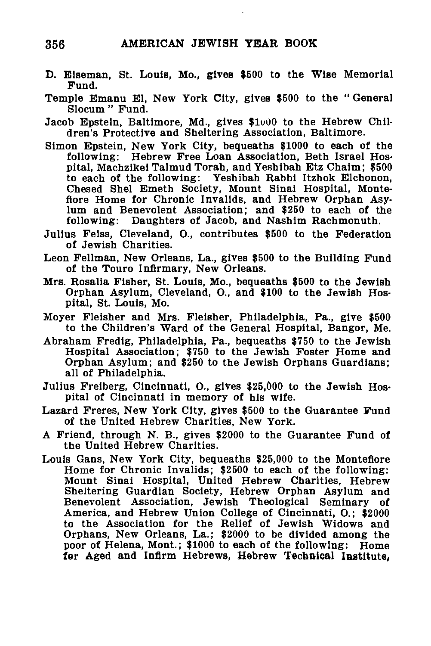- D. Elseman, St. Louis, Mo., gives \$500 to the Wise Memorial Fund.
- Temple Emanu El, New York City, gives \$500 to the " General Slocum " Fund.
- Jacob Epstein, Baltimore, Md., gives \$1000 to the Hebrew Children's Protective and Sheltering Association, Baltimore.
- Simon Epstein, New York City, bequeaths \$1000 to each of the following: Hebrew Free Loan Association, Beth Israel Hospital, Machzikei Talmud Torah, and Yeshibah Etz Chaim; \$500 to each of the following: Yeshibah Rabbi Itzhok Elchonon, Chesed Shel Emeth Society, Mount Sinai Hospital, Monteflore Home for Chronic Invalids, and Hebrew Orphan Asylum and Benevolent Association; and \$250 to each of the following: Daughters of Jacob, and Nashim Rachmonuth.
- Julius Feiss, Cleveland, O., contributes \$500 to the Federation of Jewish Charities.
- Leon Fellman, New Orleans, La., gives \$500 to the Building Fund of the Touro Infirmary, New Orleans.
- Mrs. Rosalia Fisher, St. Louis, Mo., bequeaths \$500 to the Jewish Orphan Asylum, Cleveland, O., and \$100 to the Jewish Hospital, St. Louis, Mo.
- Moyer Fleisher and Mrs. Fleisher, Philadelphia, Pa., give \$500 to the Children's Ward of the General Hospital, Bangor, Me.
- Abraham Fredig, Philadelphia, Pa., bequeaths \$750 to the Jewish Hospital Association; \$750 to the Jewish Foster Home and Orphan Asylum; and \$250 to the Jewish Orphans Guardians; all of Philadelphia.
- Julius Freiberg, Cincinnati, O., gives \$25,000 to the Jewish Hospital of Cincinnati in memory of his wife.
- Lazard Freres, New York City, gives \$500 to the Guarantee Fund of the United Hebrew Charities, New York.
- A Friend, through N. B., gives \$2000 to the Guarantee Fund of the United Hebrew Charities.
- Louis Gans, New York City, bequeaths \$25,000 to the Montefiore Home for Chronic Invalids; \$2500 to each of the following: Mount Sinai Hospital, United Hebrew Charities, Hebrew Sheltering Guardian Society, Hebrew Orphan Asylum and Benevolent Association, Jewish Theological Seminary of America, and Hebrew Union College of Cincinnati, O.; \$2000 to the Association for the Relief of Jewish Widows and Orphans, New Orleans, La.; \$2000 to be divided among the poor of Helena, Mont.; \$1000 to each of the following: Home for Aged and Infirm Hebrews, Hebrew Technical Institute,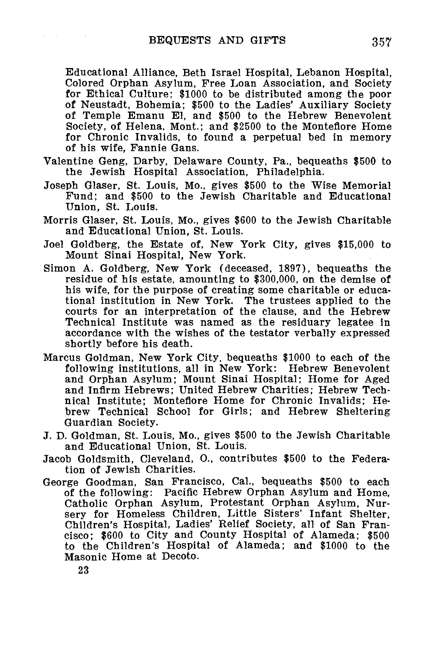Educational Alliance, Beth Israel Hospital, Lebanon Hospital, Colored Orphan Asylum, Free Loan Association, and Society for Ethical Culture; \$1000 to be distributed among the poor of Neustadt, Bohemia; \$500 to the Ladies' Auxiliary Society of Temple Emanu El, and \$500 to the Hebrew Benevolent Society, of Helena, Mont.; and \$2500 to the Monteflore Home for Chronic Invalids, to found a perpetual bed in memory of his wife, Fannie Gans.

- Valentine Geng, Darby, Delaware County, Pa., bequeaths \$500 to the Jewish Hospital Association, Philadelphia.
- Joseph Glaser, St. Louis, Mo., gives \$500 to the Wise Memorial Fund; and \$500 to the Jewish Charitable and Educational Union, St. Louis.
- Morris Glaser, St. Louis, Mo., gives \$600 to the Jewish Charitable and Educational Union, St. Louis.
- Joel Goldberg, the Estate of, New York City, gives \$15,000 to Mount Sinai Hospital, New York.
- Simon A. Goldberg, New York (deceased, 1897), bequeaths the residue of his estate, amounting to \$300,000, on the demise of his wife, for the purpose of creating some charitable or educational institution in New York. The trustees applied to the courts for an interpretation of the clause, and the Hebrew Technical Institute was named as the residuary legatee in accordance with the wishes of the testator verbally expressed shortly before his death.
- Marcus Goldman, New York City, bequeaths \$1000 to each of the following institutions, all in New York: Hebrew Benevolent and Orphan Asylum; Mount Sinai Hospital; Home for Aged and Infirm Hebrews; United Hebrew Charities; Hebrew Technical Institute; Monteflore Home for Chronic Invalids; Hebrew Technical School for Girls; and Hebrew Sheltering Guardian Society.
- J. D. Goldman, St. Louis, Mo., gives \$500 to the Jewish Charitable and Educational Union, St. Louis.
- Jacob Goldsmith, Cleveland, O., contributes \$500 to the Federation of Jewish Charities.
- George Goodman, San Francisco, Cal., bequeaths \$500 to each of the following: Pacific Hebrew Orphan Asylum and Home, Catholic Orphan Asylum, Protestant Orphan Asylum, Nursery for Homeless Children, Little Sisters' Infant Shelter, Children's Hospital, Ladies' Relief Society, all of San Francisco; \$600 to City and County Hospital of Alameda; \$500 to the Children's Hospital of Alameda; and \$1000 to the Masonic Home at Decoto.

23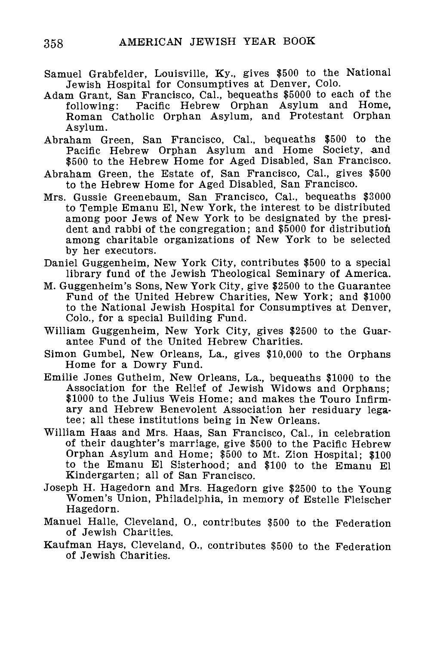- Samuel Grabfelder, Louisville, Ky., gives \$500 to the National Jewish Hospital for Consumptives at Denver, Colo.
- Adam Grant, San Francisco, Cal., bequeaths \$5000 to each of the following: Pacific Hebrew Orphan Asylum and Home. Pacific Hebrew Orphan Asylum and Home, Roman Catholic Orphan Asylum, and Protestant Orphan Asylum.
- Abraham Green, San Francisco, Cal., bequeaths \$500 to the Pacific Hebrew Orphan Asylum and Home Society, and \$500 to the Hebrew Home for Aged Disabled, San Francisco.
- Abraham Green, the Estate of, San Francisco, Cal., gives \$500 to the Hebrew Home for Aged Disabled, San Francisco.
- Mrs. Gussie Greenebaum, San Francisco, Cal., bequeaths \$3000 to Temple Emanu El, New York, the interest to be distributed among poor Jews of New York to be designated by the president and rabbi of the congregation; and \$5000 for distribution among charitable organizations of New York to be selected by her executors.
- Daniel Guggenheim, New York City, contributes \$500 to a special library fund of the Jewish Theological Seminary of America.
- M. Guggenheim's Sons, New York City, give \$2500 to the Guarantee Fund of the United Hebrew Charities, New York; and \$1000 to the National Jewish Hospital for Consumptives at Denver, Colo., for a special Building Fund.
- William Guggenheim, New York City, gives \$2500 to the Guarantee Fund of the United Hebrew Charities.
- Simon Gumbel, New Orleans, La., gives \$10,000 to the Orphans Home for a Dowry Fund.
- Emilie Jones Gutheim, New Orleans, La., bequeaths \$1000 to the Association for the Relief of Jewish Widows and Orphans; \$1000 to the Julius Weis Home; and makes the Touro Infirmary and Hebrew Benevolent Association her residuary legatee; all these institutions being in New Orleans.
- William Haas and Mrs. Haas, San Francisco, Cal., in celebration of their daughter's marriage, give \$500 to the Pacific Hebrew Orphan Asylum and Home; \$500 to Mt. Zion Hospital; \$100 to the Emanu El Sisterhood; and \$100 to the Emanu El Kindergarten; all of San Francisco.
- Joseph H. Hagedorn and Mrs. Hagedorn give \$2500 to the Young Women's Union, Philadelphia, in memory of Estelle Fleischer Hagedorn.
- Manuel Halle, Cleveland, O., contributes \$500 to the Federation of Jewish Charities.
- Kaufman Hays, Cleveland, 0., contributes \$500 to the Federation of Jewish Charities.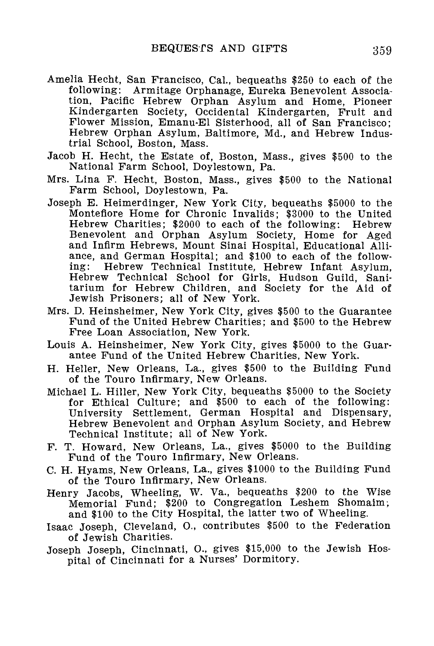- Amelia Hecht, San Francisco, Cal., bequeaths \$250 to each of the following: Armitage Orphanage, Eureka Benevolent Association, Pacific Hebrew Orphan Asylum and Home, Pioneer Kindergarten Society, Occidental Kindergarten, Fruit and Flower Mission, Emanu-El Sisterhood, all of San Francisco; Hebrew Orphan Asylum, Baltimore, Md., and Hebrew Industrial School, Boston, Mass.
- Jacob H. Hecht, the Estate of, Boston, Mass., gives \$500 to the National Farm School, Doylestown, Pa.
- Mrs. Lina F. Hecht, Boston, Mass., gives \$500 to the National Farm School, Doylestown, Pa.
- Joseph E. Heimerdinger, New York City, bequeaths \$5000 to the Montefiore Home for Chronic Invalids; \$3000 to the United Hebrew Charities; \$2000 to each of the following: Hebrew Benevolent and Orphan Asylum Society, Home for Aged and Infirm Hebrews, Mount Sinai Hospital, Educational Alliance, and German Hospital; and \$100 to each of the follow-<br>ing: Hebrew Technical Institute. Hebrew Infant Asylum. Hebrew Technical Institute, Hebrew Infant Asylum, Hebrew Technical School for Girls, Hudson Guild, Sanitarium for Hebrew Children, and Society for the Aid of Jewish Prisoners; all of New York.
- Mrs. D. Heinsheimer, New York City, gives \$500 to the Guarantee Fund of the United Hebrew Charities; and \$500 to the Hebrew Free Loan Association, New York.
- Louis A. Heinsheimer, New York City, gives \$5000 to the Guarantee Fund of the United Hebrew Charities, New York.
- H. Heller, New Orleans, La., gives \$500 to the Building Fund of the Touro Infirmary, New Orleans.
- Michael L. Hiller, New York City, bequeaths \$5000 to the Society for Ethical Culture; and \$500 to each of the following: University Settlement, German Hospital and Dispensary, Hebrew Benevolent and Orphan Asylum Society, and Hebrew Technical Institute; all of New York.
- F. T. Howard, New Orleans, La., gives \$5000 to the Building Fund of the Touro Infirmary, New Orleans.
- C. H. Hyams, New Orleans, La., gives \$1000 to the Building Fund of the Touro Infirmary, New Orleans.
- Henry Jacobs, Wheeling, W. Va., bequeaths \$200 to the Wise Memorial Fund; \$200 to Congregation Leshem Shomaim; and \$100 to the City Hospital, the latter two of Wheeling.
- Isaac Joseph, Cleveland, O., contributes \$500 to the Federation of Jewish Charities.
- Joseph Joseph, Cincinnati, O., gives \$15,000 to the Jewish Hospital of Cincinnati for a Nurses' Dormitory.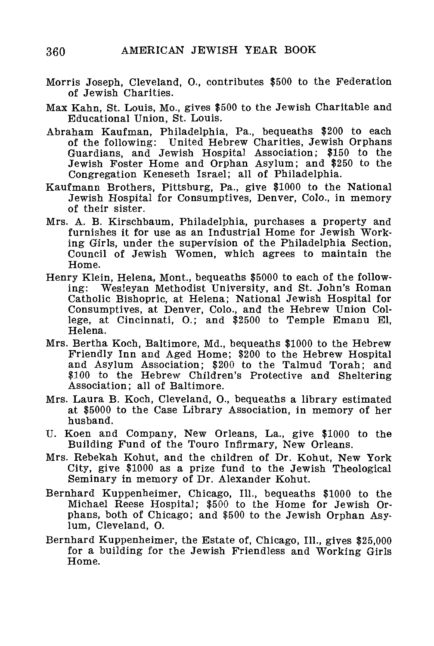- Morris Joseph, Cleveland, O., contributes \$500 to the Federation of Jewish Charities.
- Max Kahn, St. Louis, Mo., gives \$500 to the Jewish Charitable and Educational Union, St. Louis.
- Abraham Kaufman, Philadelphia, Pa., bequeaths \$200 to each of the following: United Hebrew Charities, Jewish Orphans Guardians, and Jewish Hospital Association; \$150 to the Jewish Foster Home and Orphan Asylum; and \$250 to the Congregation Keneseth Israel; all of Philadelphia.
- Kaufmann Brothers, Pittsburg, Pa., give \$1000 to the National Jewish Hospital for Consumptives, Denver, Colo., in memory of their sister.
- Mrs. A. B. Kirschbaum, Philadelphia, purchases a property and furnishes it for use as an Industrial Home for Jewish Working Girls, under the supervision of the Philadelphia Section, Council of Jewish Women, which agrees to maintain the Home.
- Henry Klein, Helena, Mont., bequeaths \$5000 to each of the following: Wesleyan Methodist University, and St. John's Roman Catholic Bishopric, at Helena; National Jewish Hospital for Consumptives, at Denver, Colo., and the Hebrew Union College, at Cincinnati, O.; and \$2500 to Temple Emanu El, Helena.
- Mrs. Bertha Koch, Baltimore, Md., bequeaths \$1000 to the Hebrew Friendly Inn and Aged Home; \$200 to the Hebrew Hospital and Asylum Association; \$200 to the Talmud Torah; and \$100 to the Hebrew Children's Protective and Sheltering Association; all of Baltimore.
- Mrs. Laura B. Koch, Cleveland, O., bequeaths a library estimated at \$5000 to the Case Library Association, in memory of her husband.
- U. Koen and Company, New Orleans, La., give \$1000 to the Building Fund of the Touro Infirmary, New Orleans.
- Mrs. Rebekah Kohut, and the children of Dr. Kohut, New York City, give \$1000 as a prize fund to the Jewish Theological Seminary in memory of Dr. Alexander Kohut.
- Bernhard Kuppenheimer, Chicago, 111., bequeaths \$1000 to the Michael Reese Hospital; \$500 to the Home for Jewish Orphans, both of Chicago; and \$500 to the Jewish Orphan Asylum, Cleveland, O.
- Bernhard Kuppenheimer, the Estate of, Chicago, 111., gives \$25,000 for a building for the Jewish Friendless and Working Girls Home.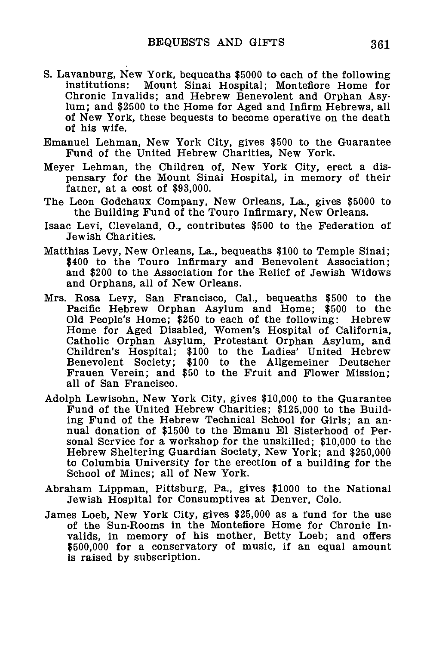- S. Lavanburg, New York, bequeaths \$5000 to each of the following Mount Sinai Hospital; Monteflore Home for Chronic Invalids; and Hebrew Benevolent and Orphan Asylum; and \$2500 to the Home for Aged and Infirm Hebrews, all of New York, these bequests to become operative on the death of his wife.
- Emanuel Lehman, New York City, gives \$500 to the Guarantee Fund of the United Hebrew Charities, New York.
- Meyer Lehman, the Children of, New York City, erect a dispensary for the Mount Sinai Hospital, in memory of their father, at a cost of  $$93,000$ .
- The Leon Godchaux Company, New Orleans, La., gives \$5000 to the Building Fund of the Touro Infirmary, New Orleans.
- Isaac Levi, Cleveland, O., contributes \$500 to the Federation of Jewish Charities.
- Matthias Levy, New Orleans, La., bequeaths \$100 to Temple Sinai; \$400 to the Touro Infirmary and Benevolent Association; and \$200 to the Association for the Relief of Jewish Widows and Orphans, all of New Orleans.
- Mrs. Rosa Levy, San Francisco, Cal., bequeaths \$500 to the Pacific Hebrew Orphan Asylum and Home; \$500 to the Old People's Home; \$250 to each of the following: Hebrew Home for Aged Disabled, Women's Hospital of California, Catholic Orphan Asylum, Protestant Orphan Asylum, and Children's Hospital; \$100 to the Ladies' United Hebrew Benevolent Society; \$100 to the Allgemeiner Deutscher Frauen Verein; and \$50 to the Fruit and Flower Mission; all of San Francisco.
- Adolph Lewisohn, New York City, gives \$10,000 to the Guarantee Fund of the United Hebrew Charities; \$125,000 to the Building Fund of the Hebrew Technical School for Girls; an annual donation of \$1500 to the Emanu El Sisterhood of Personal Service for a workshop for the unskilled; \$10,000 to the Hebrew Sheltering Guardian Society, New York; and \$250,000 to Columbia University for the erection of a building for the School of Mines; all of New York.
- Abraham Lippman, Pittsburg, Pa., gives \$1000 to the National Jewish Hospital for Consumptives at Denver, Colo.
- James Loeb, New York City, gives \$25,000 as a fund for the use of the Sun-Rooms in the Montefiore Home for Chronic Invalids, in memory of his mother, Betty Loeb; and offers \$500,000 for a conservatory of music, if an equal amount is raised by subscription.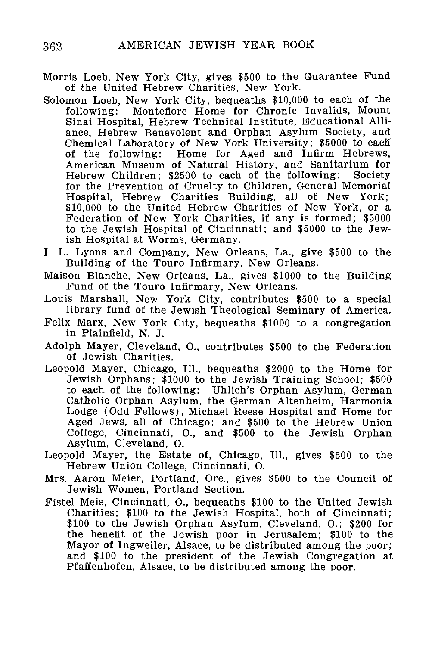- Morris Loeb, New York City, gives \$500 to the Guarantee Fund of the United Hebrew Charities, New York.
- Solomon Loeb, New York City, bequeaths \$10,000 to each of the following: Monteflore Home for Chronic Invalids, Mount Sinai Hospital, Hebrew Technical Institute, Educational Alliance, Hebrew Benevolent and Orphan Asylum Society, and Chemical Laboratory of New York University; \$5000 to each of the following: Home for Aged and Infirm Hebrews, American Museum of Natural History, and Sanitarium for Hebrew Children; \$2500 to each of the following: Society for the Prevention of Cruelty to Children, General Memorial Hospital, Hebrew Charities Building, all of New York; \$10,000 to the United Hebrew Charities of New York, or a Federation of New York Charities, if any is formed; \$5000 to the Jewish Hospital of Cincinnati; and \$5000 to the Jewish Hospital at Worms, Germany.
- I. L. Lyons and Company, New Orleans, La., give \$500 to the Building of the Touro Infirmary, New Orleans.
- Maison Blanche, New Orleans, La., gives \$1000 to the Building Fund of the Touro Infirmary, New Orleans.
- Louis Marshall, New York City, contributes \$500 to a special library fund of the Jewish Theological Seminary of America.
- Felix Marx, New York City, bequeaths \$1000 to a congregation in Plainfield, N. J.
- Adolph Mayer, Cleveland, O., contributes \$500 to the Federation of Jewish Charities.
- Leopold Mayer, Chicago, 111., bequeaths \$2000 to the Home for Jewish Orphans; \$1000 to the Jewish Training School; \$500 to each of the following: Uhlich's Orphan Asylum, German Catholic Orphan Asylum, the German Altenheim, Harmonia Lodge (Odd Fellows), Michael Reese Hospital and Home for Aged Jews, all of Chicago; and \$500 to the Hebrew Union College, Cincinnati, O., and \$500 to the Jewish Orphan Asylum, Cleveland, O.
- Leopold Mayer, the Estate of, Chicago, 111., gives \$500 to the Hebrew Union College, Cincinnati, O.
- Mrs. Aaron Meier, Portland, Ore., gives \$500 to the Council of Jewish Women, Portland Section.
- Fistel Meis, Cincinnati, O., bequeaths \$100 to the United Jewish Charities; \$100 to the Jewish Hospital, both of Cincinnati; \$100 to the Jewish Orphan Asylum, Cleveland, O.; \$200 for the benefit of the Jewish poor in Jerusalem; \$100 to the Mayor of Ingweiler, Alsace, to be distributed among the poor; and \$100 to the president of the Jewish Congregation at Pfaffenhofen, Alsace, to be distributed among the poor.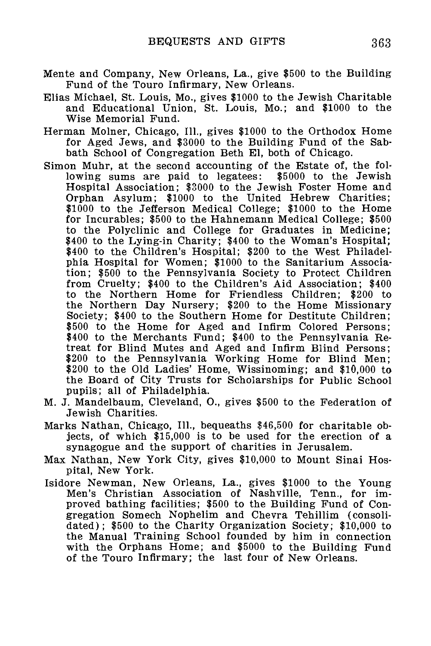- Mente and Company, New Orleans, La., give \$500 to the Building Fund of the Touro Infirmary, New Orleans.
- Elias Michael, St. Louis, Mo., gives \$1000 to the Jewish Charitable and Educational Union, St. Louis, Mo.; and \$1000 to the Wise Memorial Fund.
- Herman Molner, Chicago, 111., gives \$1000 to the Orthodox Home for Aged Jews, and \$3000 to the Building Fund of the Sabbath School of Congregation Beth El, both of Chicago.
- Simon Muhr, at the second accounting of the Estate of, the following sums are paid to legatees: \$5000 to the Jewish Hospital Association; \$3000 to the Jewish Foster Home and Orphan Asylum; \$1000 to the United Hebrew Charities; \$1000 to the Jefferson Medical College; \$1000 to the Home for Incurables; \$500 to the Hahnemann Medical College; \$500 to the Polyclinic and College for Graduates in Medicine; \$400 to the Lying-in Charity; \$400 to the Woman's Hospital; \$400 to the Children's Hospital; \$200 to the West Philadelphia Hospital for Women; \$1000 to the Sanitarium Association; \$500 to the Pennsylvania Society to Protect Children from Cruelty; \$400 to the Children's Aid Association; \$400 to the Northern Home for Friendless Children; \$200 to the Northern Day Nursery; \$200 to the Home Missionary Society; \$400 to the Southern Home for Destitute Children; \$500 to the Home for Aged and Infirm Colored Persons; \$400 to the Merchants Fund; \$400 to the Pennsylvania Retreat for Blind Mutes and Aged and Infirm Blind Persons; \$200 to the Pennsylvania Working Home for Blind Men; \$200 to the Old Ladies' Home, Wissinoming; and \$10,000 to the Board of City Trusts for Scholarships for Public School pupils; all of Philadelphia.
- M. J. Mandelbaum, Cleveland, O., gives \$500 to the Federation of Jewish Charities.
- Marks Nathan, Chicago, 111., bequeaths \$46,500 for charitable objects, of which \$15,000 is to be used for the erection of a synagogue and the support of charities in Jerusalem.
- Max Nathan, New York City, gives \$10,000 to Mount Sinai Hospital, New York.
- Isidore Newman, New Orleans, La., gives \$1000 to the Young Men's Christian Association of Nashville, Tenn., for improved bathing facilities; \$500 to the Building Fund of Congregation Somech Nophelim and Chevra Tehillim (consolidated); \$500 to the Charity Organization Society; \$10,000 to the Manual Training School founded by him in connection with the Orphans Home; and \$5000 to the Building Fund of the Touro Infirmary; the last four of New Orleans.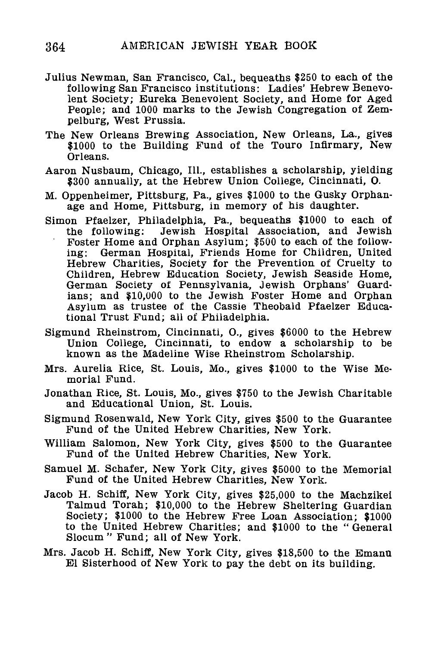- Julius Newman, San Francisco, Cal., bequeaths \$250 to each of the following San Francisco institutions: Ladies' Hebrew Benevolent Society; Eureka Benevolent Society, and Home for Aged People; and 1000 marks to the Jewish Congregation of Zempelburg, West Prussia.
- The New Orleans Brewing Association, New Orleans, La., gives \$1000 to the Building Fund of the Touro Infirmary, New Orleans.
- Aaron Nusbaum, Chicago, 111., establishes a scholarship, yielding \$300 annually, at the Hebrew Union College, Cincinnati, 0.
- M. Oppenheimer, Pittsburg, Pa., gives \$1000 to the Gusky Orphanage and Home, Pittsburg, in memory of his daughter.
- Simon Pfaelzer, Philadelphia, Pa., bequeaths \$1000 to each of the following: Jewish Hospital Association, and Jewish Foster Home and Orphan Asylum; \$500 to each of the following: German Hospital, Friends Home for Children, United Hebrew Charities, Society for the Prevention of Cruelty to Children, Hebrew Education Society, Jewish Seaside Home, German Society of Pennsylvania, Jewish Orphans' Guardians; and \$10,000 to the Jewish Foster Home and Orphan Asylum as trustee of the Cassie Theobald Pfaelzer Educational Trust Fund; all of Philadelphia.
- Sigmund Rheinstrom, Cincinnati, O., gives \$6000 to the Hebrew Union College, Cincinnati, to endow a scholarship to be known as the Madeline Wise Rheinstrom Scholarship.
- Mrs. Aurelia Rice, St. Louis, Mo., gives \$1000 to the Wise Memorial Fund.
- Jonathan Rice, St. Louis, Mo., gives \$750 to the Jewish Charitable and Educational Union, St. Louis.
- Sigmund Rosenwald, New York City, gives \$500 to the Guarantee Fund of the United Hebrew Charities, New York.
- William Salomon, New York City, gives \$500 to the Guarantee Fund of the United Hebrew Charities, New York.
- Samuel M. Schafer, New York City, gives \$5000 to the Memorial Fund of the United Hebrew Charities, New York.
- Jacob H. Schiff, New York City, gives \$25,000 to the Machzikei Talmud Torah; \$10,000 to the Hebrew Sheltering Guardian Society; \$1000 to the Hebrew Free Loan Association; \$1000 to the United Hebrew Charities; and \$1000 to the " General Slocum " Fund; all of New York.
- Mrs. Jacob H. Schiff, New York City, gives \$18,500 to the Emanu El Sisterhood of New York to pay the debt on its building.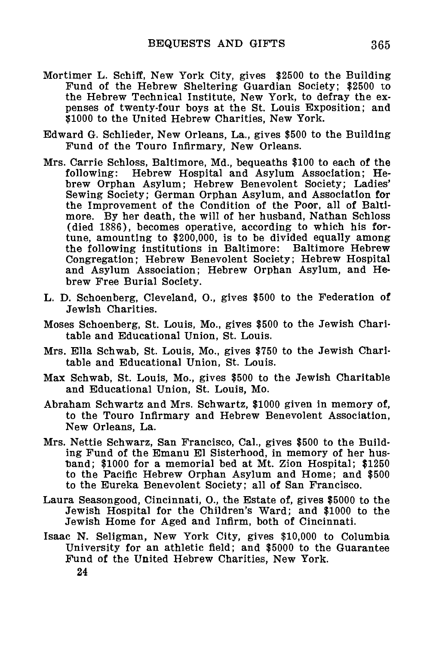- Mortimer L. Schiff, New York City, gives \$2500 to the Building Fund of the Hebrew Sheltering Guardian Society; \$2500 to the Hebrew Technical Institute, New York, to defray the expenses of twenty-four boys at the St. Louis Exposition; and \$1000 to the United Hebrew Charities, New York.
- Edward G. Schlieder, New Orleans, La., gives \$500 to the Building Fund of the Touro Infirmary, New Orleans.
- Mrs. Carrie Schloss, Baltimore, Md., bequeaths \$100 to each of the Hebrew Hospital and Asylum Association; Hebrew Orphan Asylum; Hebrew Benevolent Society; Ladies' Sewing Society; German Orphan Asylum, and Association for the Improvement of the Condition of the Poor, all of Baltimore. By her death, the will of her husband, Nathan Schloss (died 1886), becomes operative, according to which his fortune, amounting to \$200,000, is to be divided equally among the following institutions in Baltimore: Baltimore Hebrew Congregation; Hebrew Benevolent Society; Hebrew Hospital and Asylum Association; Hebrew Orphan Asylum, and Hebrew Free Burial Society.
- L. D. Schoenberg, Cleveland, O., gives \$500 to the Federation of Jewish Charities.
- Moses Schoenberg, St. Louis, Mo., gives \$500 to the Jewish Charitable and Educational Union, St. Louis.
- Mrs. Ella Schwab, St. Louis, Mo., gives \$750 to the Jewish Charitable and Educational Union, St. Louis.
- Max Schwab, St. Louis, Mo., gives \$500 to the Jewish Charitable and Educational Union, St. Louis, Mo.
- Abraham Schwartz and Mrs. Schwartz, \$1000 given in memory of, to the Touro Infirmary and Hebrew Benevolent Association, New Orleans, La.
- Mrs. Nettie Schwarz, San Francisco, Cal., gives \$500 to the Building Fund of the Emanu El Sisterhood, in memory of her hus- •band; \$1000 for a memorial bed at Mt. Zion Hospital; \$1250 to the Pacific Hebrew Orphan Asylum and Home; and \$500 to the Eureka Benevolent Society; all of San Francisco.
- Laura Seasongood, Cincinnati, O., the Estate of, gives \$5000 to the Jewish Hospital for the Children's Ward; and \$1000 to the Jewish Home for Aged and Infirm, both of Cincinnati.
- Isaac N. Seligman, New York City, gives \$10,000 to Columbia University for an athletic field; and \$5000 to the Guarantee Fund of the United Hebrew Charities, New York. 24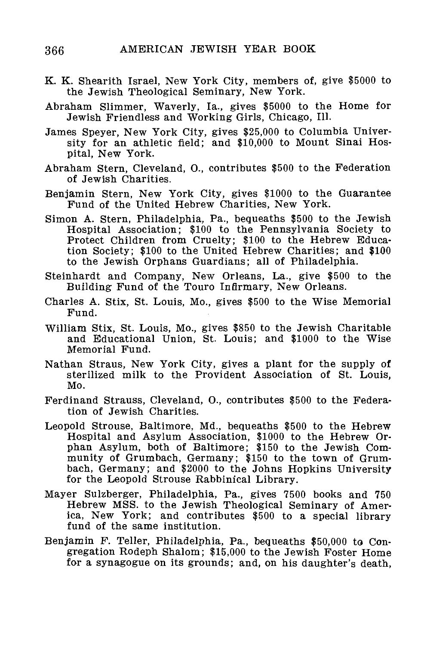- K. K. Shearith Israel, New York City, members of, give \$5000 to the Jewish Theological Seminary, New York.
- Abraham Slimmer, Waverly, la., gives \$5000 to the Home for Jewish Friendless and Working Girls, Chicago, 111.
- James Speyer, New York City, gives \$25,000 to Columbia University for an athletic field; and \$10,000 to Mount Sinai Hospital, New York.
- Abraham Stern, Cleveland, O., contributes \$500 to the Federation of Jewish Charities.
- Benjamin Stern, New York City, gives \$1000 to the Guarantee Fund of the United Hebrew Charities, New York.
- Simon A. Stern, Philadelphia, Pa., bequeaths \$500 to the Jewish Hospital Association; \$100 to the Pennsylvania Society to Protect Children from Cruelty; \$100 to the Hebrew Education Society; \$100 to the United Hebrew Charities; and \$100 to the Jewish Orphans Guardians; all of Philadelphia.
- Steinhardt and Company, New Orleans, La., give \$500 to the Building Fund of the Touro Infirmary, New Orleans.
- Charles A. Stix, St. Louis, Mo., gives \$500 to the Wise Memorial Fund.
- William Stix, St. Louis, Mo., gives \$850 to the Jewish Charitable and Educational Union, St. Louis; and \$1000 to the Wise Memorial Fund.
- Nathan Straus, New York City, gives a plant for the supply of sterilized milk to the Provident Association of St. Louis, Mo.
- Ferdinand Strauss, Cleveland, O., contributes \$500 to the Federation of Jewish Charities.
- Leopold Strouse, Baltimore, Md., bequeaths \$500 to the Hebrew Hospital and Asylum Association, \$1000 to the Hebrew Orphan Asylum, both of Baltimore; \$150 to the Jewish Community of Grumbach, Germany; \$150 to the town of Grumbach, Germany; and \$2000 to the Johns Hopkins University for the Leopold Strouse Rabbinical Library.
- Mayer Sulzberger, Philadelphia, Pa., gives 7500 books and 750 Hebrew MSS. to the Jewish Theological Seminary of America, New York; and contributes \$500 to a special library fund of the same institution.
- Benjamin F. Teller, Philadelphia, Pa., bequeaths \$50,000 to Congregation Rodeph Shalom; \$15,000 to the Jewish Foster Home for a synagogue on its grounds; and, on his daughter's death,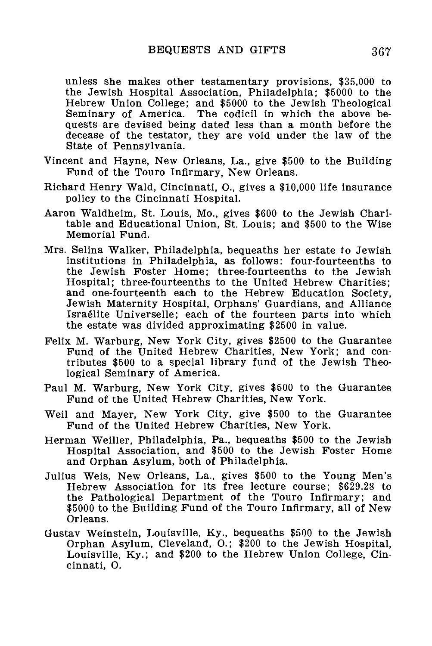unless she makes other testamentary provisions, \$35,000 to the Jewish Hospital Association, Philadelphia; \$5000 to the Hebrew Union College; and \$5000 to the Jewish Theological Seminary of America. The codicil in which the above bequests are devised being dated less than a month before the decease of the testator, they are void under the law of the State of Pennsylvania.

- Vincent and Hayne, New Orleans, La., give \$500 to the Building Fund of the Touro Infirmary, New Orleans.
- Richard Henry Wald, Cincinnati, O., gives a \$10,000 life insurance policy to the Cincinnati Hospital.
- Aaron Waldheim, St. Louis, Mo., gives \$600 to the Jewish Charitable and Educational Union, St. Louis; and \$500 to the Wise Memorial Fund.
- Mrs. Selina Walker, Philadelphia, bequeaths her estate to Jewish institutions in Philadelphia, as follows: four-fourteenths to the Jewish Foster Home; three-fourteenths to the Jewish Hospital; three-fourteenths to the United Hebrew Charities; and one-fourteenth each to the Hebrew Education Society, Jewish Maternity Hospital, Orphans' Guardians, and Alliance Israelite Universelle; each of the fourteen parts into which the estate was divided approximating \$2500 in value.
- Felix M. Warburg, New York City, gives \$2500 to the Guarantee Fund of the United Hebrew Charities, New York; and contributes \$500 to a special library fund of the Jewish Theological Seminary of America.
- Paul M. Warburg, New York City, gives \$500 to the Guarantee Fund of the United Hebrew Charities, New York.
- Weil and Mayer, New York City, give \$500 to the Guarantee Fund of the United Hebrew Charities, New York.
- Herman Weiller, Philadelphia, Pa., bequeaths \$500 to the Jewish Hospital Association, and \$500 to the Jewish Foster Home and Orphan Asylum, both of Philadelphia.
- Julius Weis, New Orleans, La., gives \$500 to the Young Men's Hebrew Association for its free lecture course; \$629.28 to the Pathological Department of the Touro Infirmary; and \$5000 to the Building Fund of the Touro Infirmary, all of New Orleans.
- Gustav Weinstein, Louisville, Ky., bequeaths \$500 to the Jewish Orphan Asylum, Cleveland, O.; \$200 to the Jewish Hospital, Louisville, Ky.; and \$200 to the Hebrew Union College, Cincinnati, O.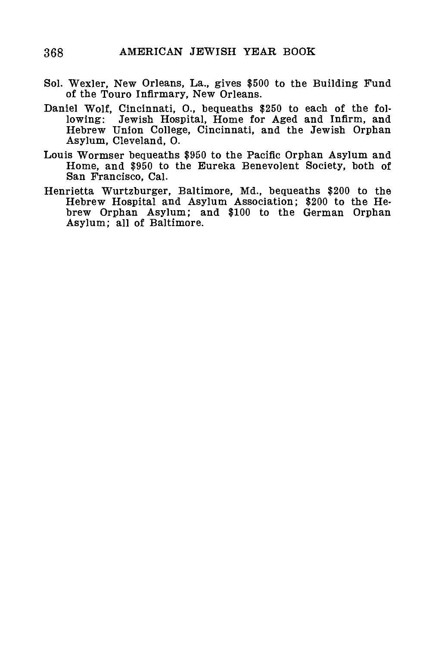- Sol. Wexler, New Orleans, La., gives \$500 to the Building Fund of the Touro Infirmary, New Orleans.
- Daniel Wolf, Cincinnati, O., bequeaths \$250 to each of the following: Jewish Hospital, Home for Aged and Infirm, and Hebrew Union College, Cincinnati, and the Jewish Orphan Asylum, Cleveland, O.
- Louis Wormser bequeaths \$950 to the Pacific Orphan Asylum and Home, and \$950 to the Eureka Benevolent Society, both of San Francisco, Cal.
- Henrietta Wurtzburger, Baltimore, Md., bequeaths \$200 to the Hebrew Hospital and Asylum Association; \$200 to the Hebrew Orphan Asylum; and \$100 to the German Orphan Asylum; all of Baltimore.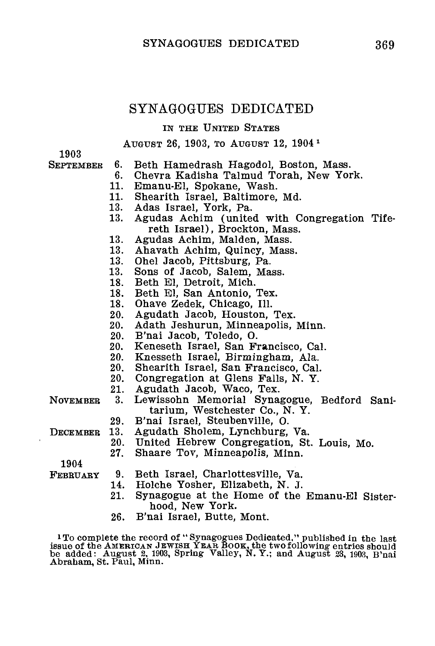# SYNAGOGUES DEDICATED

#### IN THE UNITED STATES

#### AUGUST 26, 1903, TO AUGUST 12, 1904*<sup>1</sup>*

1903

- **SEPTEMBER** 6. Beth Hamedrash Hagodol, Boston, Mass.<br>6. Chevra Kadisha Talmud Torah, New Yor
	- 6. Chevra Kadisha Talmud Torah, New York.<br>11 Emanu-El Spokane Wash
	- 11. Emanu-El, Spokane, Wash.<br>11. Shearith Israel Baltimore
	- 11. Shearith Israel, Baltimore, Md.<br>13. Adas Israel, York, Pa
	- 13. Adas Israel, York, Pa.<br>13. Agudas Achim (unite
	- Agudas Achim (united with Congregation Tifereth Israel), Brockton, Mass.
	- 13. Agudas Achim, Malden, Mass.<br>13. Ahayath Achim, Quincy, Mass.
	- 13. Ahavath Achim, Quincy, Mass.<br>13. Ohel Jacob, Pittsburg, Pa.
	- 13. Ohel Jacob, Pittsburg, Pa.
	- 13. Sons of Jacob, Salem, Mass.<br>18. Beth El Detroit, Mich.
	- 18. Beth El, Detroit, Mich.<br>18. Beth El, San Antonio
	- 18. Beth El, San Antonio, Tex.<br>18. Ohave Zedek, Chicago, Ill.
	- 18. Ohave Zedek, Chicago, Ill.<br>20. Agudath Jacob, Houston.
	- 20. Agudath Jacob, Houston, Tex.
	- 20. Adath Jeshurun, Minneapolis, Minn.
	- 20. B'nai Jacob, Toledo, O.
	- 20. Keneseth Israel, San Francisco, Cal.
	- 20. Knesseth Israel, Birmingham, Ala.
	- 20. Shearith Israel, San Francisco, Cal.
	- 20. Congregation at Glens Falls, N. Y.<br>21. Agudath Jacob. Waco. Tex.
	- 21. Agudath Jacob, Waco, Tex.<br>3. Lewissohn Memorial Syna
- Lewissohn Memorial Synagogue, Bedford Sanitarium, Westchester Co., N. Y. **NOVEMBER** 
	- 29. B'nai Israel, Steubenville, O.
	- 13. Agudath Sholem, Lynchburg, Va.<br>20. IInited Hebrew Congregation St.
	- 20. United Hebrew Congregation, St. Louis, Mo.
		- Shaare Tov, Minneapolis, Minn.

1904 FEBRUARY

**DECEMBER** 

- 9. Beth Israel, Charlottesville, Va.<br>14. Holche Yosher. Elizabeth. N. J.
- 14. Holche Yosher, Elizabeth, N. J.
- Synagogue at the Home of the Emanu-El Sisterhood, New York.
- 26. B'nai Israel, Butte, Mont.

<sup>1</sup>To complete the record of "Synagogues Dedicated," published in the last issue of the AMERICAN JEWISH YEAR BOOK, the two following entries should be added: August 2, 1903, Spring Valley, N. Y.; and August 23, 1903, B'nai Abraham, St. Paul, Minn.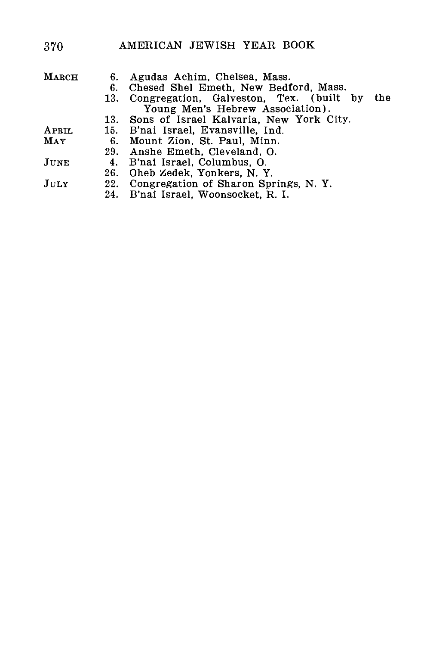# 370 AMERICAN JEWISH YEAR BOOK

| $\rm M_{\rm A RCH}$ | 6.  | Agudas Achim, Chelsea, Mass.                    |
|---------------------|-----|-------------------------------------------------|
|                     | 6.  | Chesed Shel Emeth, New Bedford, Mass.           |
|                     | 13. | Congregation, Galveston, Tex. (built by<br>the. |
|                     |     | Young Men's Hebrew Association).                |
|                     |     | 13. Sons of Israel Kalvaria, New York City.     |
| APRIL               |     | 15. B'nai Israel, Evansville, Ind.              |
| May                 |     | 6. Mount Zion, St. Paul, Minn.                  |
|                     |     | 29. Anshe Emeth. Cleveland. O.                  |
| JUNE                |     | 4. B'nai Israel, Columbus, O.                   |
|                     |     | 26. Oheb Zedek, Yonkers, N.Y.                   |
| JULY                |     | 22. Congregation of Sharon Springs, N.Y.        |
|                     |     | 24. B'nai Israel, Woonsocket, R. I.             |
|                     |     |                                                 |